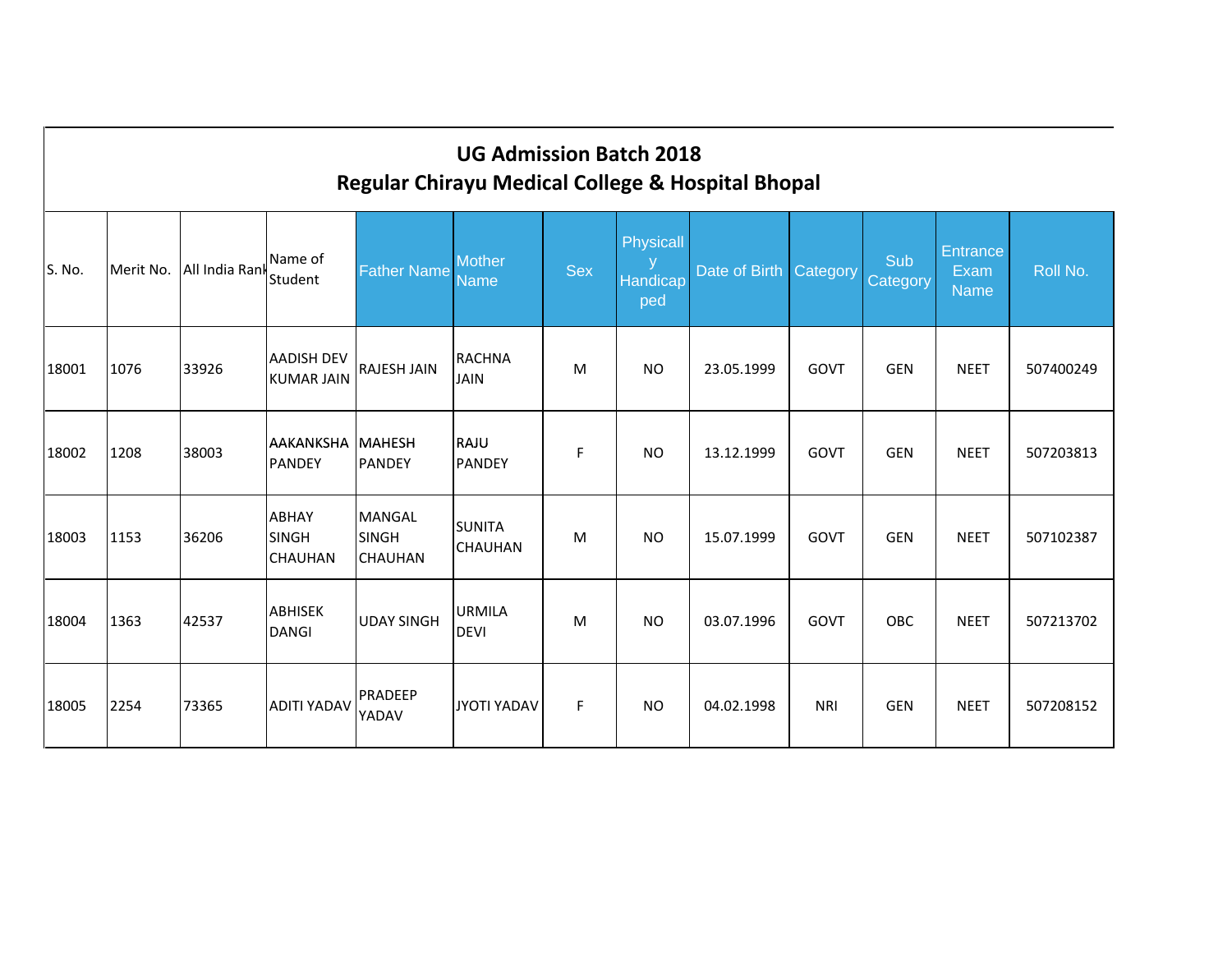|        | <b>UG Admission Batch 2018</b><br><b>Regular Chirayu Medical College &amp; Hospital Bhopal</b> |                          |                                                |                                          |                                 |            |                              |                        |            |                 |                                 |           |  |  |
|--------|------------------------------------------------------------------------------------------------|--------------------------|------------------------------------------------|------------------------------------------|---------------------------------|------------|------------------------------|------------------------|------------|-----------------|---------------------------------|-----------|--|--|
| S. No. |                                                                                                | Merit No. All India Rank | Name of<br>Student                             | <b>Father Name</b>                       | <b>Mother</b><br><b>Name</b>    | <b>Sex</b> | Physicall<br>Handicap<br>ped | Date of Birth Category |            | Sub<br>Category | Entrance<br>Exam<br><b>Name</b> | Roll No.  |  |  |
| 18001  | 1076                                                                                           | 33926                    | <b>AADISH DEV</b><br><b>KUMAR JAIN</b>         | <b>RAJESH JAIN</b>                       | <b>RACHNA</b><br><b>JAIN</b>    | M          | <b>NO</b>                    | 23.05.1999             | GOVT       | <b>GEN</b>      | <b>NEET</b>                     | 507400249 |  |  |
| 18002  | 1208                                                                                           | 38003                    | AAKANKSHA<br>PANDEY                            | <b>MAHESH</b><br>PANDEY                  | RAJU<br>PANDEY                  | F          | <b>NO</b>                    | 13.12.1999             | GOVT       | <b>GEN</b>      | <b>NEET</b>                     | 507203813 |  |  |
| 18003  | 1153                                                                                           | 36206                    | <b>ABHAY</b><br><b>SINGH</b><br><b>CHAUHAN</b> | MANGAL<br><b>SINGH</b><br><b>CHAUHAN</b> | <b>SUNITA</b><br><b>CHAUHAN</b> | M          | <b>NO</b>                    | 15.07.1999             | GOVT       | <b>GEN</b>      | <b>NEET</b>                     | 507102387 |  |  |
| 18004  | 1363                                                                                           | 42537                    | <b>ABHISEK</b><br>DANGI                        | <b>UDAY SINGH</b>                        | <b>URMILA</b><br><b>DEVI</b>    | M          | <b>NO</b>                    | 03.07.1996             | GOVT       | OBC             | <b>NEET</b>                     | 507213702 |  |  |
| 18005  | 2254                                                                                           | 73365                    | <b>ADITI YADAV</b>                             | <b>PRADEEP</b><br>YADAV                  | JYOTI YADAV                     | F          | <b>NO</b>                    | 04.02.1998             | <b>NRI</b> | <b>GEN</b>      | <b>NEET</b>                     | 507208152 |  |  |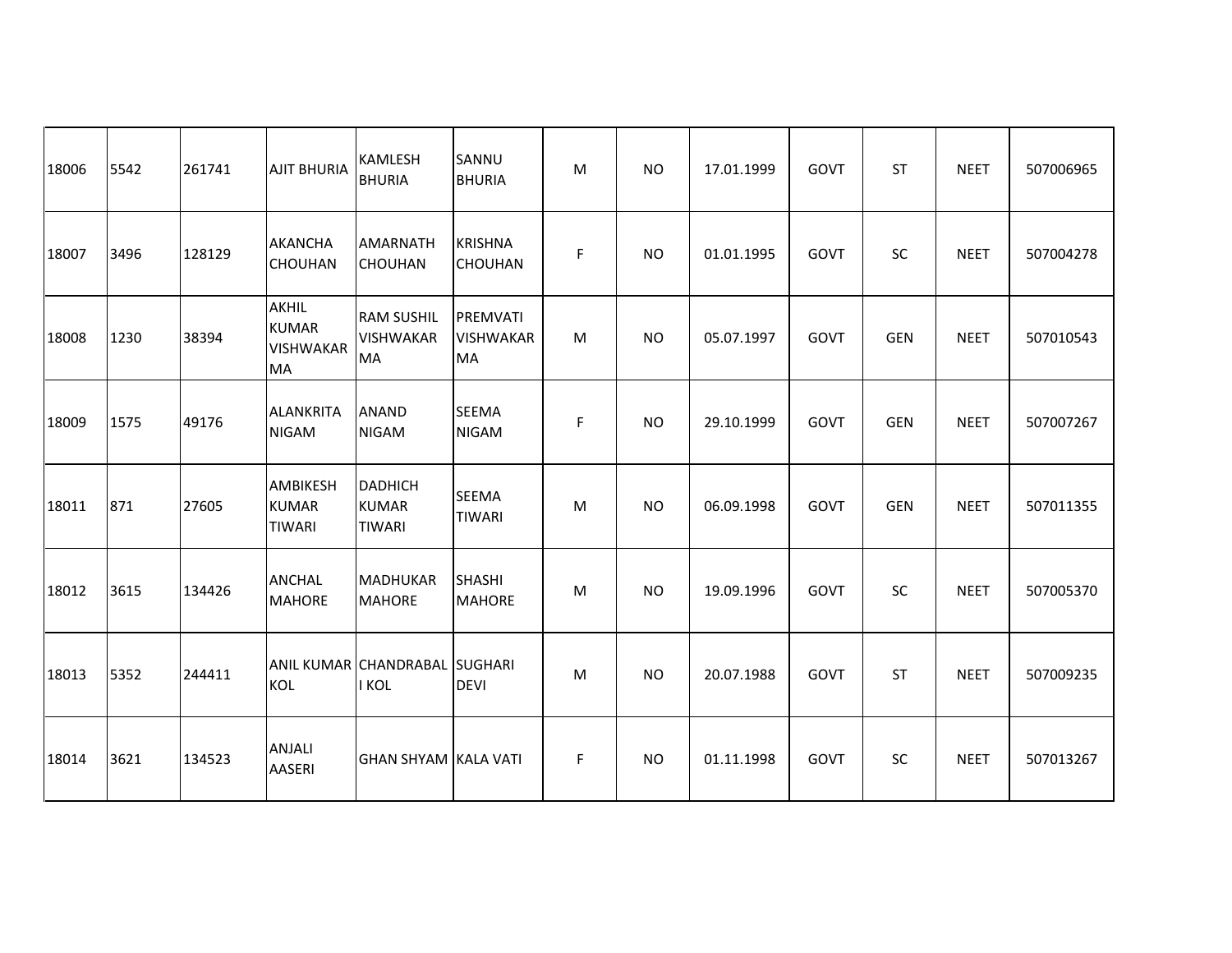| 18006 | 5542 | 261741 | <b>AJIT BHURIA</b>                                     | KAMLESH<br><b>BHURIA</b>                           | SANNU<br><b>BHURIA</b>                    | M | <b>NO</b> | 17.01.1999 | GOVT | <b>ST</b>  | <b>NEET</b> | 507006965 |
|-------|------|--------|--------------------------------------------------------|----------------------------------------------------|-------------------------------------------|---|-----------|------------|------|------------|-------------|-----------|
| 18007 | 3496 | 128129 | <b>AKANCHA</b><br><b>CHOUHAN</b>                       | AMARNATH<br><b>CHOUHAN</b>                         | <b>KRISHNA</b><br><b>CHOUHAN</b>          | F | <b>NO</b> | 01.01.1995 | GOVT | SC         | <b>NEET</b> | 507004278 |
| 18008 | 1230 | 38394  | <b>AKHIL</b><br><b>KUMAR</b><br><b>VISHWAKAR</b><br>MA | <b>RAM SUSHIL</b><br><b>VISHWAKAR</b><br><b>MA</b> | PREMVATI<br><b>VISHWAKAR</b><br><b>MA</b> | M | <b>NO</b> | 05.07.1997 | GOVT | <b>GEN</b> | <b>NEET</b> | 507010543 |
| 18009 | 1575 | 49176  | <b>ALANKRITA</b><br><b>NIGAM</b>                       | <b>ANAND</b><br><b>NIGAM</b>                       | <b>SEEMA</b><br><b>NIGAM</b>              | F | <b>NO</b> | 29.10.1999 | GOVT | <b>GEN</b> | <b>NEET</b> | 507007267 |
| 18011 | 871  | 27605  | AMBIKESH<br><b>KUMAR</b><br><b>TIWARI</b>              | <b>DADHICH</b><br><b>KUMAR</b><br><b>TIWARI</b>    | <b>SEEMA</b><br><b>TIWARI</b>             | M | <b>NO</b> | 06.09.1998 | GOVT | <b>GEN</b> | <b>NEET</b> | 507011355 |
| 18012 | 3615 | 134426 | <b>ANCHAL</b><br><b>MAHORE</b>                         | <b>MADHUKAR</b><br><b>MAHORE</b>                   | <b>SHASHI</b><br><b>MAHORE</b>            | M | <b>NO</b> | 19.09.1996 | GOVT | <b>SC</b>  | <b>NEET</b> | 507005370 |
| 18013 | 5352 | 244411 | KOL                                                    | ANIL KUMAR CHANDRABAL SUGHARI<br>I KOL             | <b>DEVI</b>                               | M | <b>NO</b> | 20.07.1988 | GOVT | <b>ST</b>  | <b>NEET</b> | 507009235 |
| 18014 | 3621 | 134523 | <b>ANJALI</b><br><b>AASERI</b>                         | <b>GHAN SHYAM KALA VATI</b>                        |                                           | F | <b>NO</b> | 01.11.1998 | GOVT | SC         | <b>NEET</b> | 507013267 |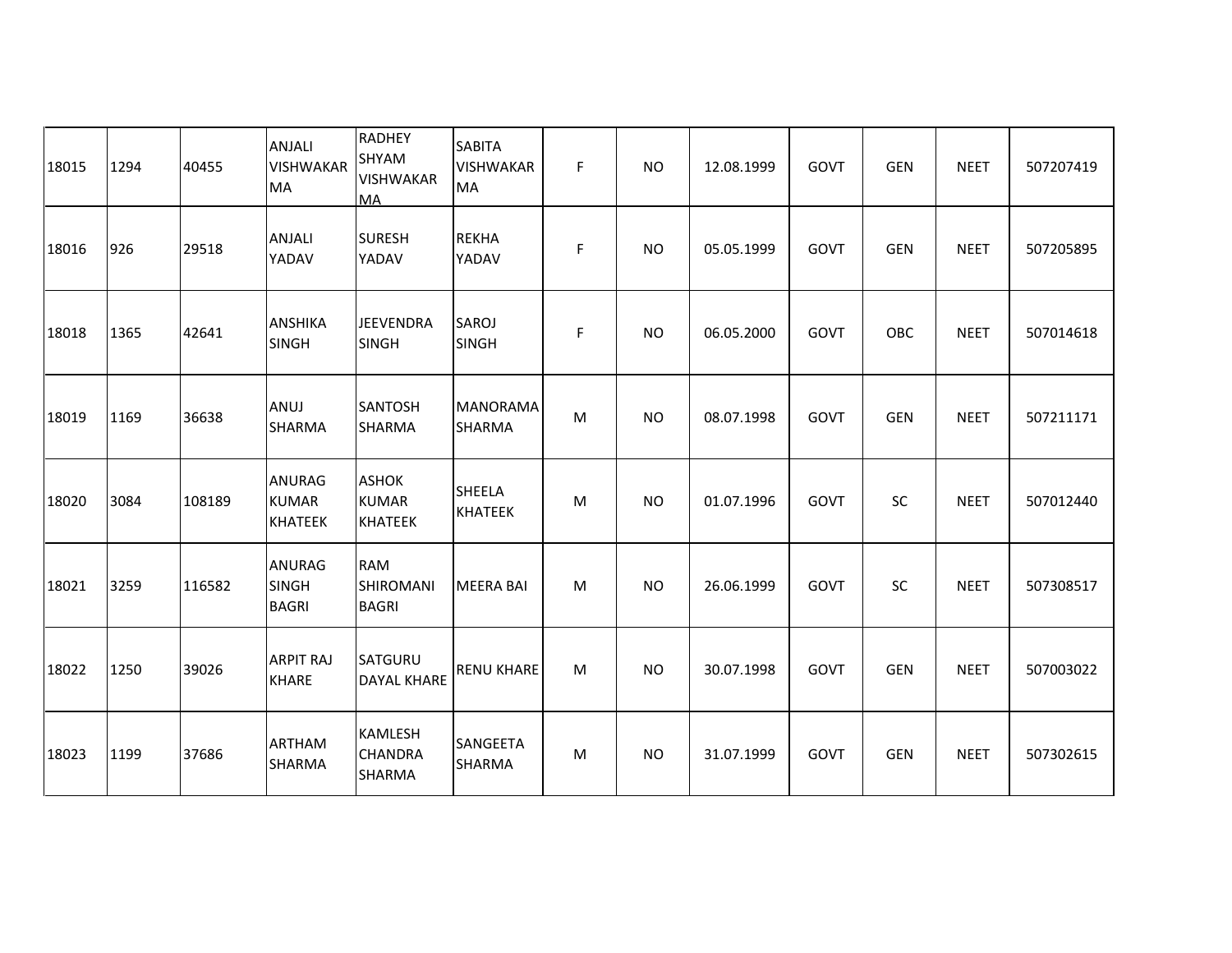| 18015 | 1294 | 40455  | <b>ANJALI</b><br><b>VISHWAKAR</b><br>MA  | <b>RADHEY</b><br>SHYAM<br><b>VISHWAKAR</b><br>MA | <b>SABITA</b><br><b>VISHWAKAR</b><br><b>MA</b> | F. | <b>NO</b> | 12.08.1999 | GOVT        | <b>GEN</b> | <b>NEET</b> | 507207419 |
|-------|------|--------|------------------------------------------|--------------------------------------------------|------------------------------------------------|----|-----------|------------|-------------|------------|-------------|-----------|
| 18016 | 926  | 29518  | <b>ANJALI</b><br>YADAV                   | <b>SURESH</b><br>YADAV                           | <b>REKHA</b><br>YADAV                          | F  | <b>NO</b> | 05.05.1999 | GOVT        | <b>GEN</b> | <b>NEET</b> | 507205895 |
| 18018 | 1365 | 42641  | <b>ANSHIKA</b><br><b>SINGH</b>           | <b>JEEVENDRA</b><br>SINGH                        | SAROJ<br>SINGH                                 | F  | <b>NO</b> | 06.05.2000 | GOVT        | OBC        | <b>NEET</b> | 507014618 |
| 18019 | 1169 | 36638  | ANUJ<br>SHARMA                           | <b>SANTOSH</b><br><b>SHARMA</b>                  | <b>MANORAMA</b><br>SHARMA                      | M  | <b>NO</b> | 08.07.1998 | GOVT        | <b>GEN</b> | <b>NEET</b> | 507211171 |
| 18020 | 3084 | 108189 | ANURAG<br><b>KUMAR</b><br><b>KHATEEK</b> | <b>ASHOK</b><br><b>KUMAR</b><br><b>KHATEEK</b>   | <b>SHEELA</b><br><b>KHATEEK</b>                | M  | <b>NO</b> | 01.07.1996 | GOVT        | SC         | <b>NEET</b> | 507012440 |
| 18021 | 3259 | 116582 | ANURAG<br><b>SINGH</b><br><b>BAGRI</b>   | <b>RAM</b><br>SHIROMANI<br><b>BAGRI</b>          | <b>MEERA BAI</b>                               | M  | <b>NO</b> | 26.06.1999 | GOVT        | SC         | <b>NEET</b> | 507308517 |
| 18022 | 1250 | 39026  | <b>ARPIT RAJ</b><br><b>KHARE</b>         | SATGURU<br><b>DAYAL KHARE</b>                    | <b>RENU KHARE</b>                              | M  | <b>NO</b> | 30.07.1998 | <b>GOVT</b> | <b>GEN</b> | <b>NEET</b> | 507003022 |
| 18023 | 1199 | 37686  | <b>ARTHAM</b><br><b>SHARMA</b>           | KAMLESH<br><b>CHANDRA</b><br>SHARMA              | SANGEETA<br>SHARMA                             | M  | <b>NO</b> | 31.07.1999 | GOVT        | <b>GEN</b> | <b>NEET</b> | 507302615 |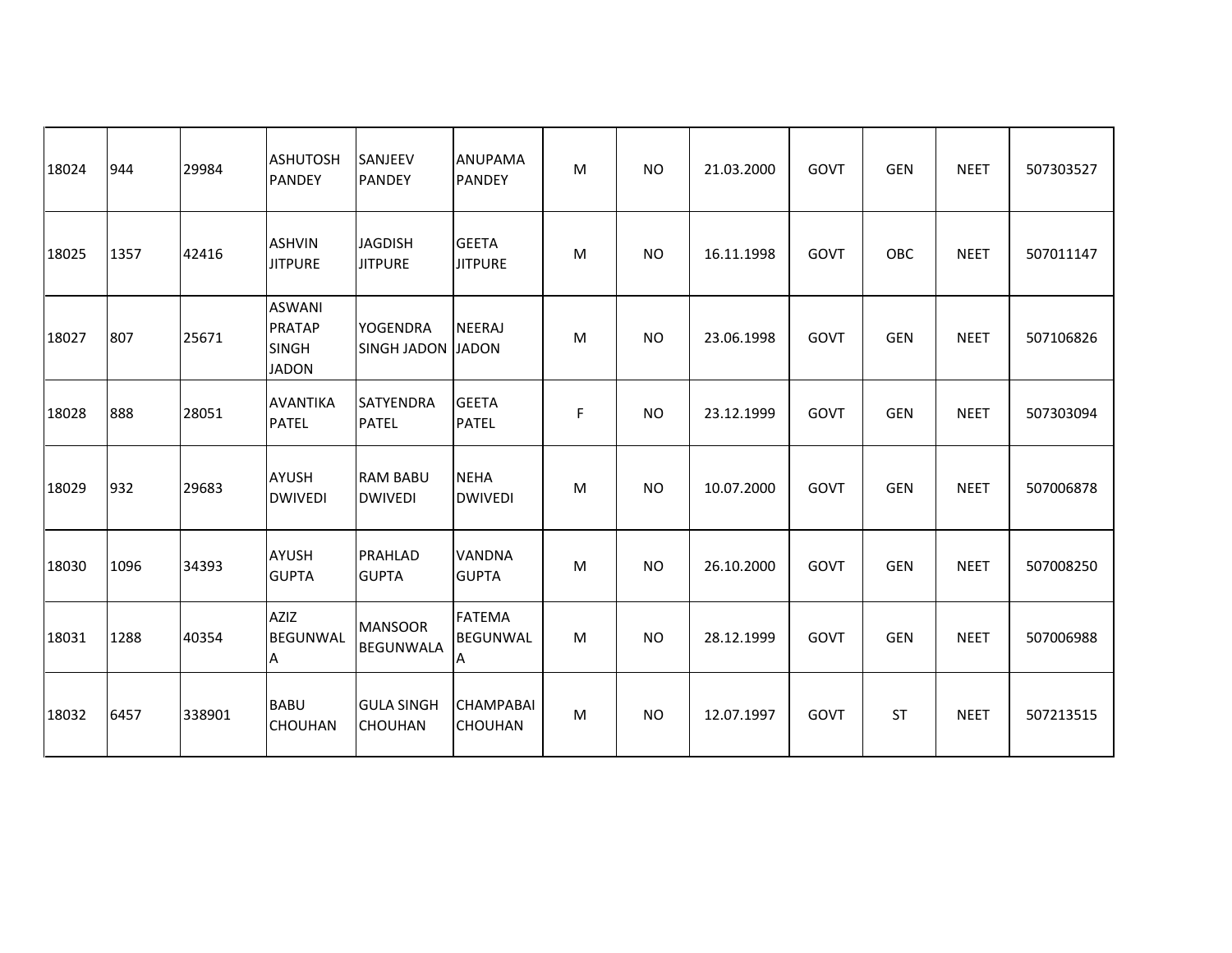| 18024 | 944  | 29984  | <b>ASHUTOSH</b><br><b>PANDEY</b>                        | SANJEEV<br><b>PANDEY</b>             | <b>ANUPAMA</b><br><b>PANDEY</b>       | м | <b>NO</b> | 21.03.2000 | GOVT | <b>GEN</b> | <b>NEET</b> | 507303527 |
|-------|------|--------|---------------------------------------------------------|--------------------------------------|---------------------------------------|---|-----------|------------|------|------------|-------------|-----------|
| 18025 | 1357 | 42416  | <b>ASHVIN</b><br><b>JITPURE</b>                         | <b>JAGDISH</b><br><b>JITPURE</b>     | <b>GEETA</b><br><b>JITPURE</b>        | м | <b>NO</b> | 16.11.1998 | GOVT | OBC        | <b>NEET</b> | 507011147 |
| 18027 | 807  | 25671  | <b>ASWANI</b><br>PRATAP<br><b>SINGH</b><br><b>JADON</b> | <b>YOGENDRA</b><br>SINGH JADON JADON | NEERAJ                                | M | <b>NO</b> | 23.06.1998 | GOVT | <b>GEN</b> | <b>NEET</b> | 507106826 |
| 18028 | 888  | 28051  | <b>AVANTIKA</b><br><b>PATEL</b>                         | <b>SATYENDRA</b><br><b>PATEL</b>     | <b>GEETA</b><br><b>PATEL</b>          | F | <b>NO</b> | 23.12.1999 | GOVT | <b>GEN</b> | <b>NEET</b> | 507303094 |
| 18029 | 932  | 29683  | <b>AYUSH</b><br><b>DWIVEDI</b>                          | <b>RAM BABU</b><br><b>DWIVEDI</b>    | <b>NEHA</b><br><b>DWIVEDI</b>         | M | <b>NO</b> | 10.07.2000 | GOVT | <b>GEN</b> | <b>NEET</b> | 507006878 |
| 18030 | 1096 | 34393  | <b>AYUSH</b><br><b>GUPTA</b>                            | PRAHLAD<br><b>GUPTA</b>              | <b>VANDNA</b><br><b>GUPTA</b>         | M | <b>NO</b> | 26.10.2000 | GOVT | <b>GEN</b> | <b>NEET</b> | 507008250 |
| 18031 | 1288 | 40354  | <b>AZIZ</b><br><b>BEGUNWAL</b><br>Α                     | <b>MANSOOR</b><br><b>BEGUNWALA</b>   | <b>FATEMA</b><br><b>BEGUNWAL</b><br>A | м | <b>NO</b> | 28.12.1999 | GOVT | <b>GEN</b> | <b>NEET</b> | 507006988 |
| 18032 | 6457 | 338901 | <b>BABU</b><br>CHOUHAN                                  | <b>GULA SINGH</b><br>CHOUHAN         | <b>CHAMPABAL</b><br><b>CHOUHAN</b>    | M | <b>NO</b> | 12.07.1997 | GOVT | <b>ST</b>  | <b>NEET</b> | 507213515 |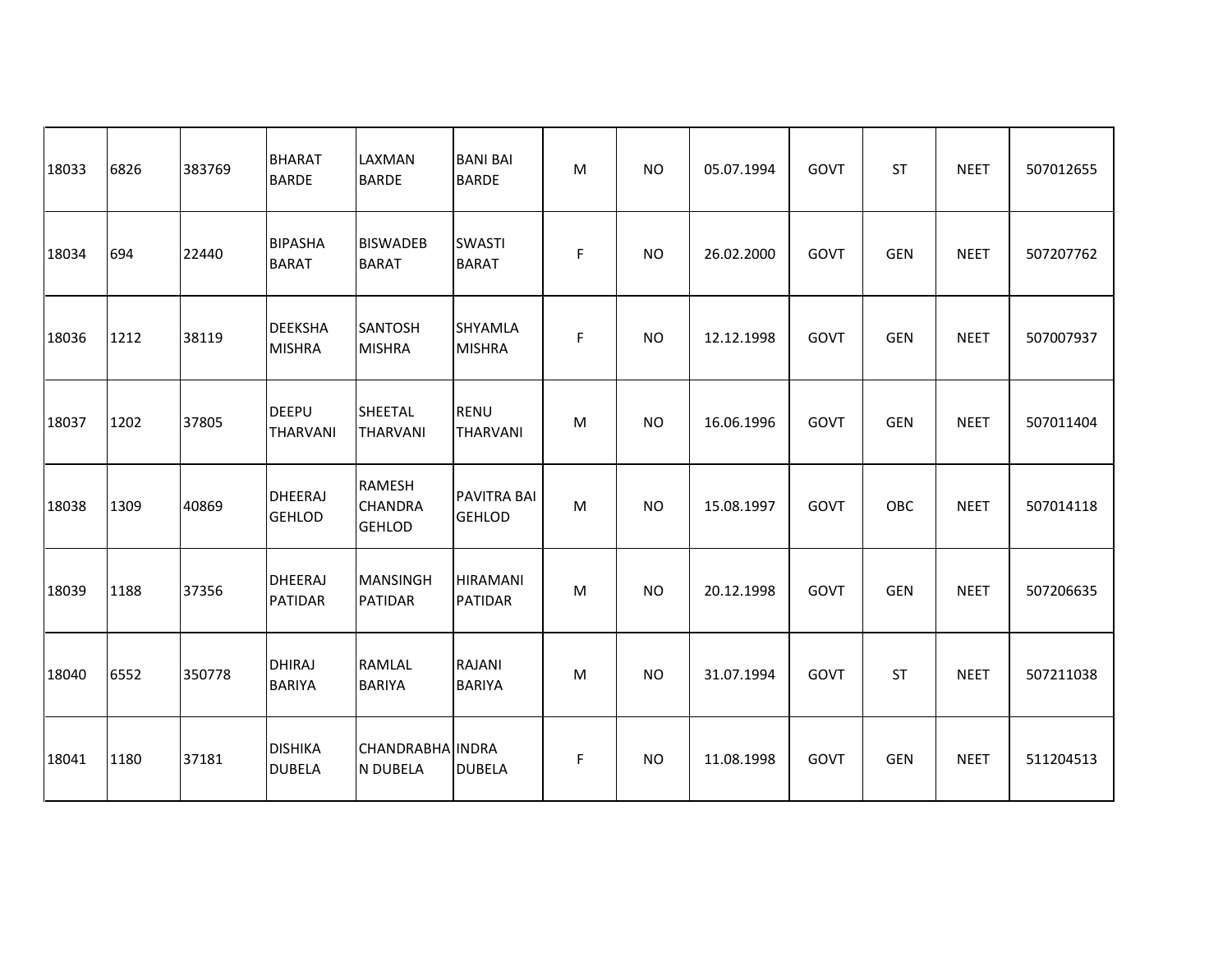| 18033 | 6826 | 383769 | <b>BHARAT</b><br><b>BARDE</b>   | <b>LAXMAN</b><br><b>BARDE</b>                    | <b>BANI BAI</b><br><b>BARDE</b>   | M         | <b>NO</b> | 05.07.1994 | GOVT        | <b>ST</b>  | <b>NEET</b> | 507012655 |
|-------|------|--------|---------------------------------|--------------------------------------------------|-----------------------------------|-----------|-----------|------------|-------------|------------|-------------|-----------|
| 18034 | 694  | 22440  | <b>BIPASHA</b><br><b>BARAT</b>  | <b>BISWADEB</b><br><b>BARAT</b>                  | <b>SWASTI</b><br><b>BARAT</b>     | F         | <b>NO</b> | 26.02.2000 | GOVT        | <b>GEN</b> | <b>NEET</b> | 507207762 |
| 18036 | 1212 | 38119  | <b>DEEKSHA</b><br><b>MISHRA</b> | SANTOSH<br><b>MISHRA</b>                         | SHYAMLA<br><b>MISHRA</b>          | F         | <b>NO</b> | 12.12.1998 | GOVT        | <b>GEN</b> | <b>NEET</b> | 507007937 |
| 18037 | 1202 | 37805  | <b>DEEPU</b><br><b>THARVANI</b> | <b>SHEETAL</b><br><b>THARVANI</b>                | <b>RENU</b><br><b>THARVANI</b>    | ${\sf M}$ | <b>NO</b> | 16.06.1996 | GOVT        | <b>GEN</b> | <b>NEET</b> | 507011404 |
| 18038 | 1309 | 40869  | DHEERAJ<br><b>GEHLOD</b>        | <b>RAMESH</b><br><b>CHANDRA</b><br><b>GEHLOD</b> | PAVITRA BAI<br><b>GEHLOD</b>      | M         | <b>NO</b> | 15.08.1997 | GOVT        | OBC        | <b>NEET</b> | 507014118 |
| 18039 | 1188 | 37356  | DHEERAJ<br><b>PATIDAR</b>       | <b>MANSINGH</b><br><b>PATIDAR</b>                | <b>HIRAMANI</b><br><b>PATIDAR</b> | M         | <b>NO</b> | 20.12.1998 | GOVT        | <b>GEN</b> | <b>NEET</b> | 507206635 |
| 18040 | 6552 | 350778 | <b>DHIRAJ</b><br><b>BARIYA</b>  | <b>RAMLAL</b><br><b>BARIYA</b>                   | RAJANI<br><b>BARIYA</b>           | M         | <b>NO</b> | 31.07.1994 | <b>GOVT</b> | <b>ST</b>  | <b>NEET</b> | 507211038 |
| 18041 | 1180 | 37181  | <b>DISHIKA</b><br><b>DUBELA</b> | CHANDRABHA INDRA<br><b>N DUBELA</b>              | <b>DUBELA</b>                     | F         | <b>NO</b> | 11.08.1998 | GOVT        | <b>GEN</b> | <b>NEET</b> | 511204513 |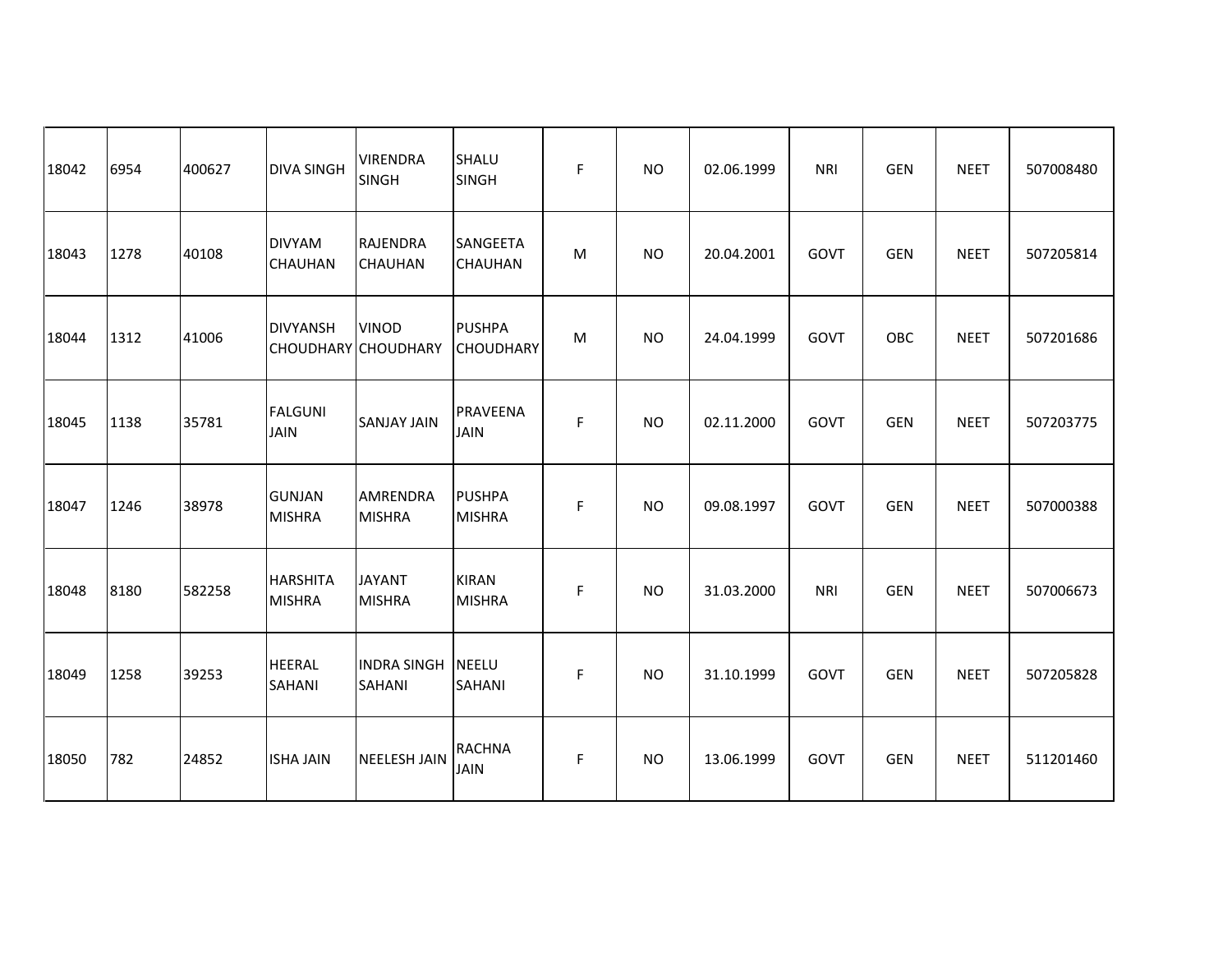| 18042 | 6954 | 400627 | <b>DIVA SINGH</b>               | <b>VIRENDRA</b><br><b>SINGH</b>     | SHALU<br><b>SINGH</b>             | F  | <b>NO</b> | 02.06.1999 | <b>NRI</b> | <b>GEN</b> | <b>NEET</b> | 507008480 |
|-------|------|--------|---------------------------------|-------------------------------------|-----------------------------------|----|-----------|------------|------------|------------|-------------|-----------|
| 18043 | 1278 | 40108  | <b>DIVYAM</b><br><b>CHAUHAN</b> | <b>RAJENDRA</b><br><b>CHAUHAN</b>   | SANGEETA<br><b>CHAUHAN</b>        | M  | <b>NO</b> | 20.04.2001 | GOVT       | <b>GEN</b> | <b>NEET</b> | 507205814 |
| 18044 | 1312 | 41006  | <b>DIVYANSH</b>                 | <b>VINOD</b><br>CHOUDHARY CHOUDHARY | <b>PUSHPA</b><br><b>CHOUDHARY</b> | м  | <b>NO</b> | 24.04.1999 | GOVT       | OBC        | <b>NEET</b> | 507201686 |
| 18045 | 1138 | 35781  | <b>FALGUNI</b><br><b>JAIN</b>   | <b>SANJAY JAIN</b>                  | <b>PRAVEENA</b><br><b>JAIN</b>    | F  | <b>NO</b> | 02.11.2000 | GOVT       | <b>GEN</b> | <b>NEET</b> | 507203775 |
| 18047 | 1246 | 38978  | <b>GUNJAN</b><br><b>MISHRA</b>  | AMRENDRA<br><b>MISHRA</b>           | <b>PUSHPA</b><br><b>MISHRA</b>    | F  | <b>NO</b> | 09.08.1997 | GOVT       | <b>GEN</b> | <b>NEET</b> | 507000388 |
| 18048 | 8180 | 582258 | HARSHITA<br><b>MISHRA</b>       | <b>JAYANT</b><br><b>MISHRA</b>      | <b>KIRAN</b><br><b>MISHRA</b>     | F. | <b>NO</b> | 31.03.2000 | <b>NRI</b> | <b>GEN</b> | <b>NEET</b> | 507006673 |
| 18049 | 1258 | 39253  | <b>HEERAL</b><br><b>SAHANI</b>  | <b>INDRA SINGH</b><br>SAHANI        | <b>NEELU</b><br><b>SAHANI</b>     | F  | <b>NO</b> | 31.10.1999 | GOVT       | <b>GEN</b> | <b>NEET</b> | 507205828 |
| 18050 | 782  | 24852  | <b>ISHA JAIN</b>                | <b>NEELESH JAIN</b>                 | <b>RACHNA</b><br><b>JAIN</b>      | F  | <b>NO</b> | 13.06.1999 | GOVT       | <b>GEN</b> | <b>NEET</b> | 511201460 |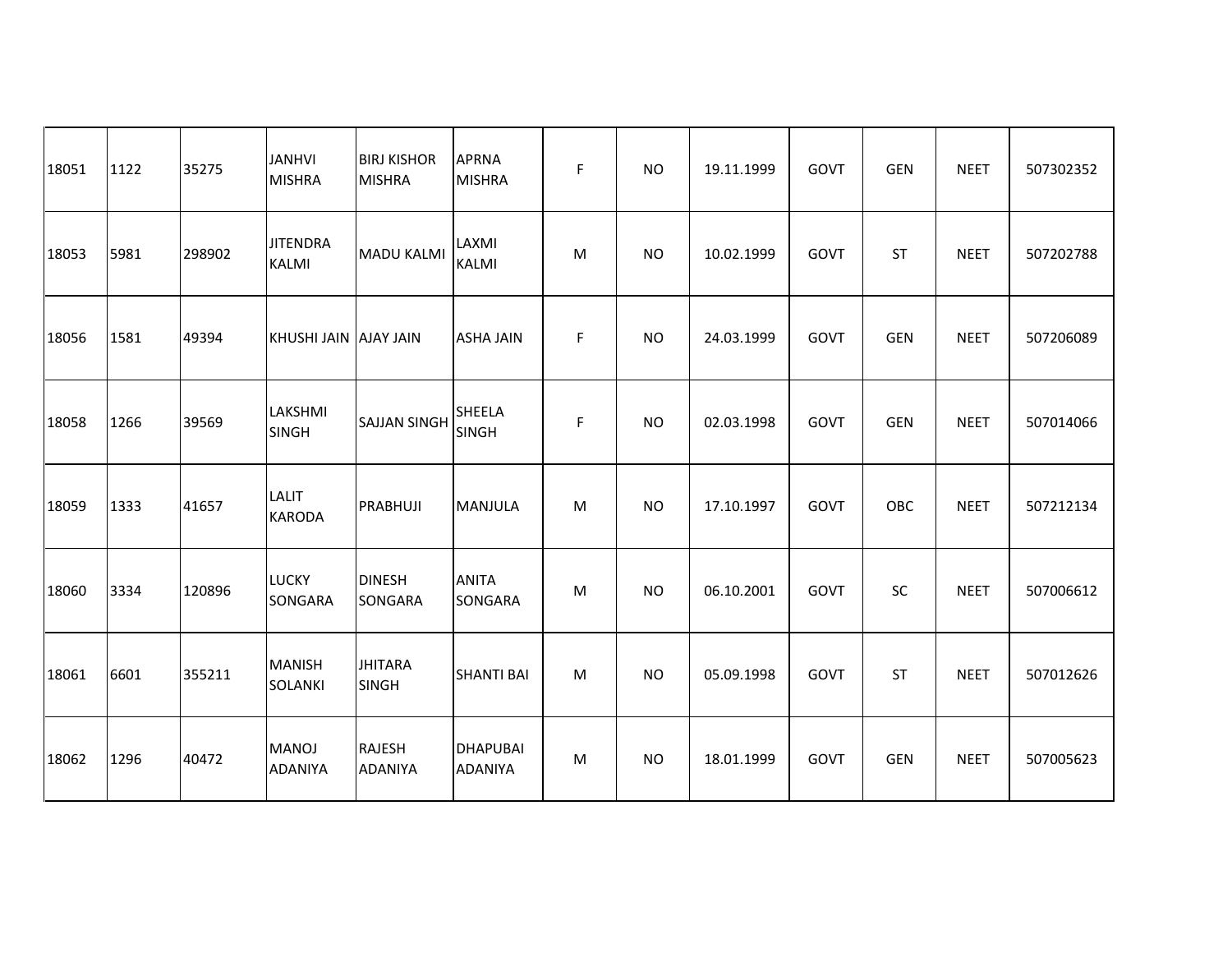| 18051 | 1122 | 35275  | <b>JANHVI</b><br><b>MISHRA</b>  | <b>BIRJ KISHOR</b><br><b>MISHRA</b> | <b>APRNA</b><br><b>MISHRA</b>     | F | <b>NO</b> | 19.11.1999 | GOVT | <b>GEN</b> | <b>NEET</b> | 507302352 |
|-------|------|--------|---------------------------------|-------------------------------------|-----------------------------------|---|-----------|------------|------|------------|-------------|-----------|
| 18053 | 5981 | 298902 | <b>JITENDRA</b><br>KALMI        | <b>MADU KALMI</b>                   | LAXMI<br><b>KALMI</b>             | M | <b>NO</b> | 10.02.1999 | GOVT | <b>ST</b>  | <b>NEET</b> | 507202788 |
| 18056 | 1581 | 49394  | KHUSHI JAIN AJAY JAIN           |                                     | <b>ASHA JAIN</b>                  | F | <b>NO</b> | 24.03.1999 | GOVT | <b>GEN</b> | <b>NEET</b> | 507206089 |
| 18058 | 1266 | 39569  | LAKSHMI<br><b>SINGH</b>         | <b>SAJJAN SINGH</b>                 | <b>SHEELA</b><br><b>SINGH</b>     | F | <b>NO</b> | 02.03.1998 | GOVT | <b>GEN</b> | <b>NEET</b> | 507014066 |
| 18059 | 1333 | 41657  | <b>LALIT</b><br><b>KARODA</b>   | PRABHUJI                            | <b>MANJULA</b>                    | M | <b>NO</b> | 17.10.1997 | GOVT | OBC        | <b>NEET</b> | 507212134 |
| 18060 | 3334 | 120896 | <b>LUCKY</b><br><b>SONGARA</b>  | <b>DINESH</b><br>SONGARA            | <b>ANITA</b><br>SONGARA           | M | <b>NO</b> | 06.10.2001 | GOVT | SC         | <b>NEET</b> | 507006612 |
| 18061 | 6601 | 355211 | <b>MANISH</b><br><b>SOLANKI</b> | <b>JHITARA</b><br><b>SINGH</b>      | <b>SHANTI BAI</b>                 | M | <b>NO</b> | 05.09.1998 | GOVT | <b>ST</b>  | <b>NEET</b> | 507012626 |
| 18062 | 1296 | 40472  | <b>MANOJ</b><br><b>ADANIYA</b>  | <b>RAJESH</b><br><b>ADANIYA</b>     | <b>DHAPUBAI</b><br><b>ADANIYA</b> | M | <b>NO</b> | 18.01.1999 | GOVT | <b>GEN</b> | <b>NEET</b> | 507005623 |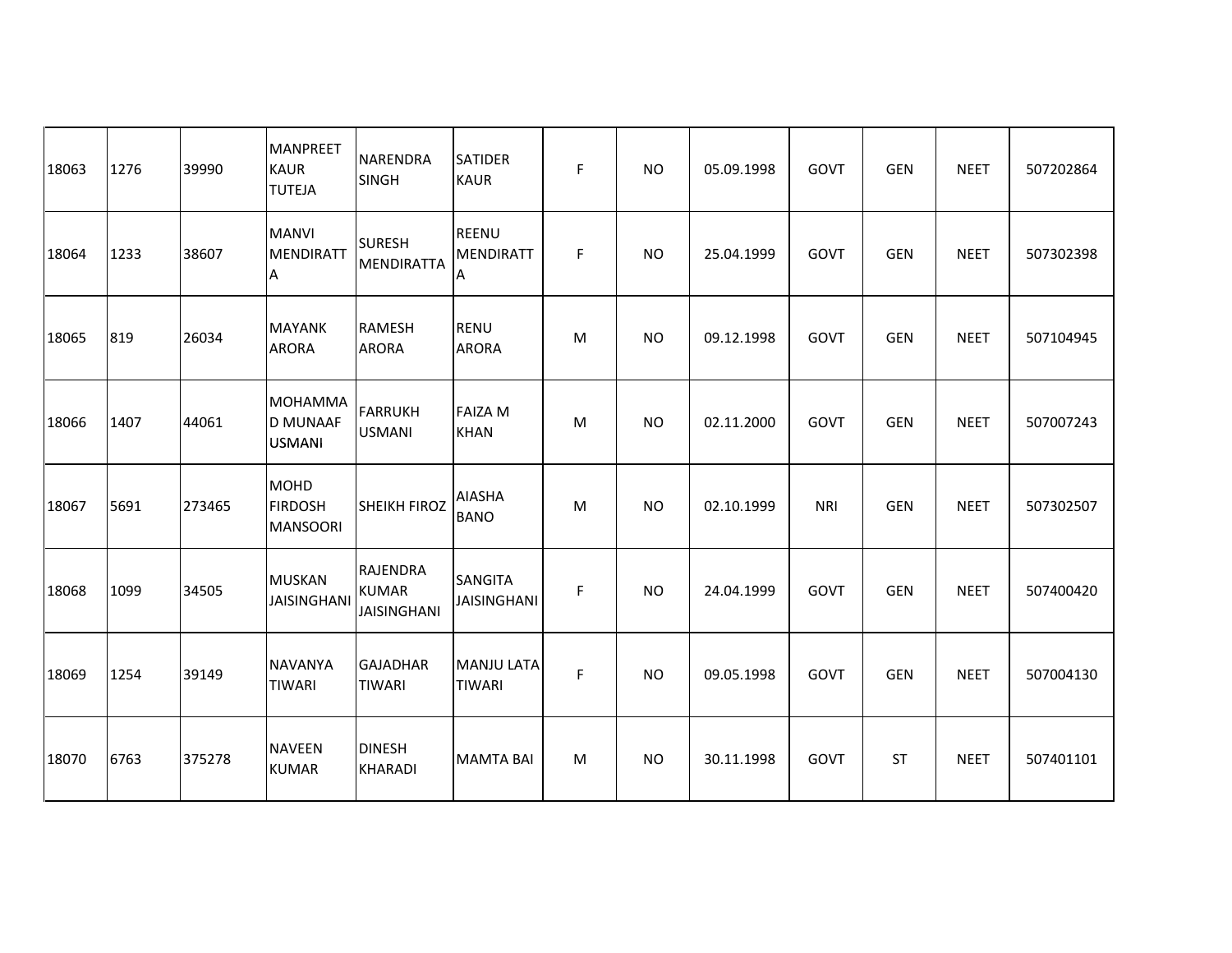| 18063 | 1276 | 39990  | <b>MANPREET</b><br><b>KAUR</b><br><b>TUTEJA</b>    | NARENDRA<br><b>SINGH</b>                              | <b>SATIDER</b><br><b>KAUR</b>         | F | <b>NO</b> | 05.09.1998 | GOVT       | <b>GEN</b> | <b>NEET</b> | 507202864 |
|-------|------|--------|----------------------------------------------------|-------------------------------------------------------|---------------------------------------|---|-----------|------------|------------|------------|-------------|-----------|
| 18064 | 1233 | 38607  | <b>MANVI</b><br><b>MENDIRATT</b><br>Α              | <b>SURESH</b><br>MENDIRATTA                           | <b>REENU</b><br><b>MENDIRATT</b><br>A | F | <b>NO</b> | 25.04.1999 | GOVT       | <b>GEN</b> | <b>NEET</b> | 507302398 |
| 18065 | 819  | 26034  | <b>MAYANK</b><br><b>ARORA</b>                      | <b>RAMESH</b><br><b>ARORA</b>                         | <b>RENU</b><br><b>ARORA</b>           | м | <b>NO</b> | 09.12.1998 | GOVT       | <b>GEN</b> | <b>NEET</b> | 507104945 |
| 18066 | 1407 | 44061  | <b>MOHAMMA</b><br><b>D MUNAAF</b><br><b>USMANI</b> | <b>FARRUKH</b><br><b>USMANI</b>                       | <b>FAIZA M</b><br><b>KHAN</b>         | M | <b>NO</b> | 02.11.2000 | GOVT       | <b>GEN</b> | <b>NEET</b> | 507007243 |
| 18067 | 5691 | 273465 | MOHD<br><b>FIRDOSH</b><br><b>MANSOORI</b>          | SHEIKH FIROZ                                          | <b>AIASHA</b><br><b>BANO</b>          | M | <b>NO</b> | 02.10.1999 | <b>NRI</b> | <b>GEN</b> | <b>NEET</b> | 507302507 |
| 18068 | 1099 | 34505  | <b>MUSKAN</b><br><b>JAISINGHANI</b>                | <b>RAJENDRA</b><br><b>KUMAR</b><br><b>JAISINGHANI</b> | <b>SANGITA</b><br><b>JAISINGHANI</b>  | F | <b>NO</b> | 24.04.1999 | GOVT       | <b>GEN</b> | <b>NEET</b> | 507400420 |
| 18069 | 1254 | 39149  | <b>NAVANYA</b><br><b>TIWARI</b>                    | GAJADHAR<br><b>TIWARI</b>                             | <b>MANJU LATA</b><br><b>TIWARI</b>    | F | <b>NO</b> | 09.05.1998 | GOVT       | <b>GEN</b> | <b>NEET</b> | 507004130 |
| 18070 | 6763 | 375278 | <b>NAVEEN</b><br><b>KUMAR</b>                      | <b>DINESH</b><br><b>KHARADI</b>                       | <b>MAMTA BAI</b>                      | M | <b>NO</b> | 30.11.1998 | GOVT       | <b>ST</b>  | <b>NEET</b> | 507401101 |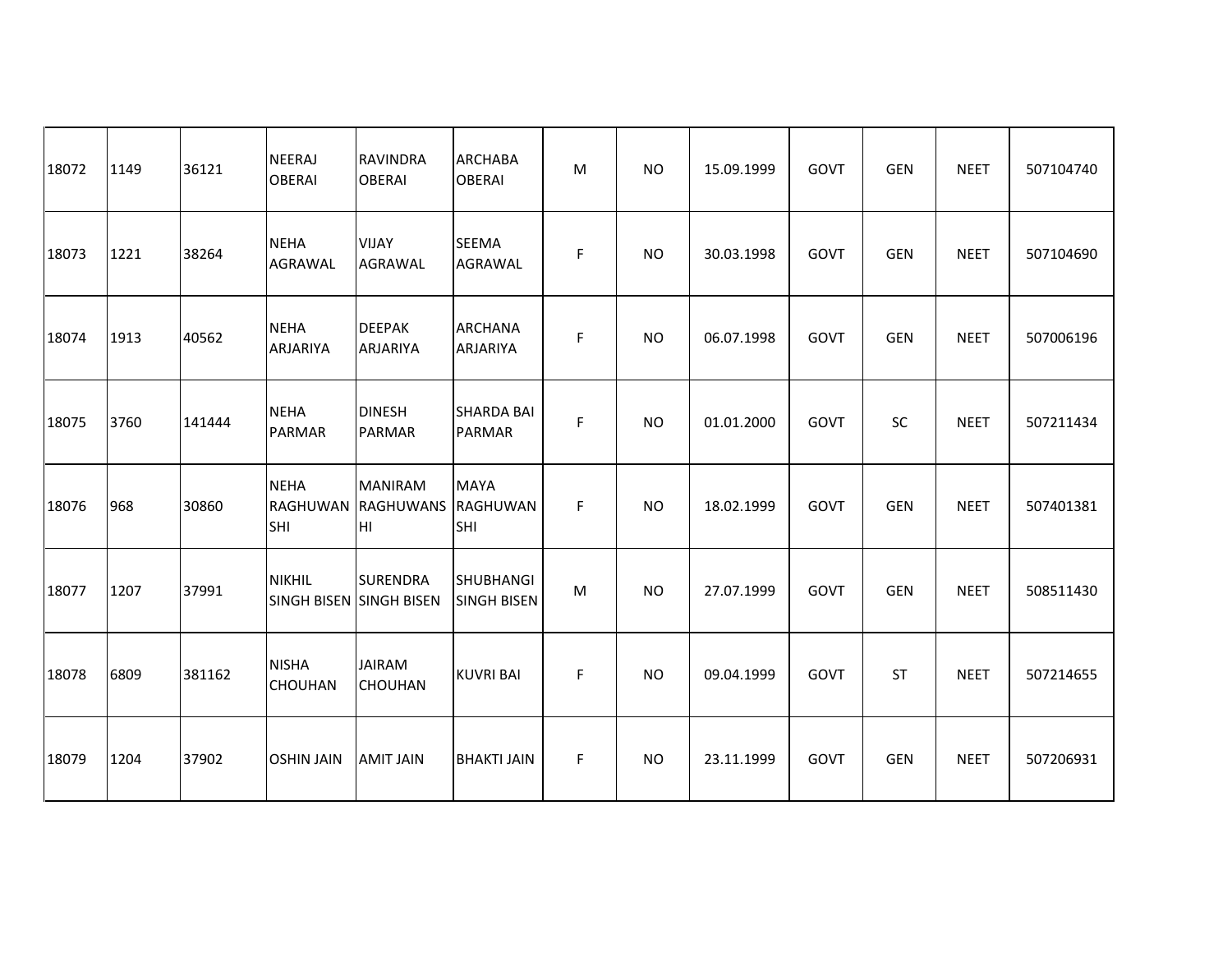| 18072 | 1149 | 36121  | <b>NEERAJ</b><br><b>OBERAI</b>        | <b>RAVINDRA</b><br><b>OBERAI</b>           | <b>ARCHABA</b><br><b>OBERAI</b>        | M | <b>NO</b>      | 15.09.1999 | GOVT | <b>GEN</b> | <b>NEET</b> | 507104740 |
|-------|------|--------|---------------------------------------|--------------------------------------------|----------------------------------------|---|----------------|------------|------|------------|-------------|-----------|
| 18073 | 1221 | 38264  | NEHA<br><b>AGRAWAL</b>                | <b>VIJAY</b><br><b>AGRAWAL</b>             | <b>SEEMA</b><br><b>AGRAWAL</b>         | F | <b>NO</b>      | 30.03.1998 | GOVT | <b>GEN</b> | <b>NEET</b> | 507104690 |
| 18074 | 1913 | 40562  | <b>NEHA</b><br><b>ARJARIYA</b>        | <b>DEEPAK</b><br><b>ARJARIYA</b>           | <b>ARCHANA</b><br><b>ARJARIYA</b>      | F | <b>NO</b>      | 06.07.1998 | GOVT | <b>GEN</b> | <b>NEET</b> | 507006196 |
| 18075 | 3760 | 141444 | <b>NEHA</b><br><b>PARMAR</b>          | <b>DINESH</b><br><b>PARMAR</b>             | <b>SHARDA BAI</b><br><b>PARMAR</b>     | F | N <sub>O</sub> | 01.01.2000 | GOVT | SC         | <b>NEET</b> | 507211434 |
| 18076 | 968  | 30860  | <b>NEHA</b><br><b>RAGHUWAN</b><br>SHI | <b>MANIRAM</b><br><b>RAGHUWANS</b><br>Iнг  | <b>MAYA</b><br>RAGHUWAN<br>SHI         | F | NO.            | 18.02.1999 | GOVT | <b>GEN</b> | <b>NEET</b> | 507401381 |
| 18077 | 1207 | 37991  | <b>NIKHIL</b>                         | <b>SURENDRA</b><br>SINGH BISEN SINGH BISEN | <b>SHUBHANGI</b><br><b>SINGH BISEN</b> | M | <b>NO</b>      | 27.07.1999 | GOVT | <b>GEN</b> | <b>NEET</b> | 508511430 |
| 18078 | 6809 | 381162 | <b>NISHA</b><br><b>CHOUHAN</b>        | <b>JAIRAM</b><br><b>CHOUHAN</b>            | <b>KUVRI BAI</b>                       | F | <b>NO</b>      | 09.04.1999 | GOVT | <b>ST</b>  | <b>NEET</b> | 507214655 |
| 18079 | 1204 | 37902  | <b>OSHIN JAIN</b>                     | <b>AMIT JAIN</b>                           | <b>BHAKTI JAIN</b>                     | F | <b>NO</b>      | 23.11.1999 | GOVT | <b>GEN</b> | <b>NEET</b> | 507206931 |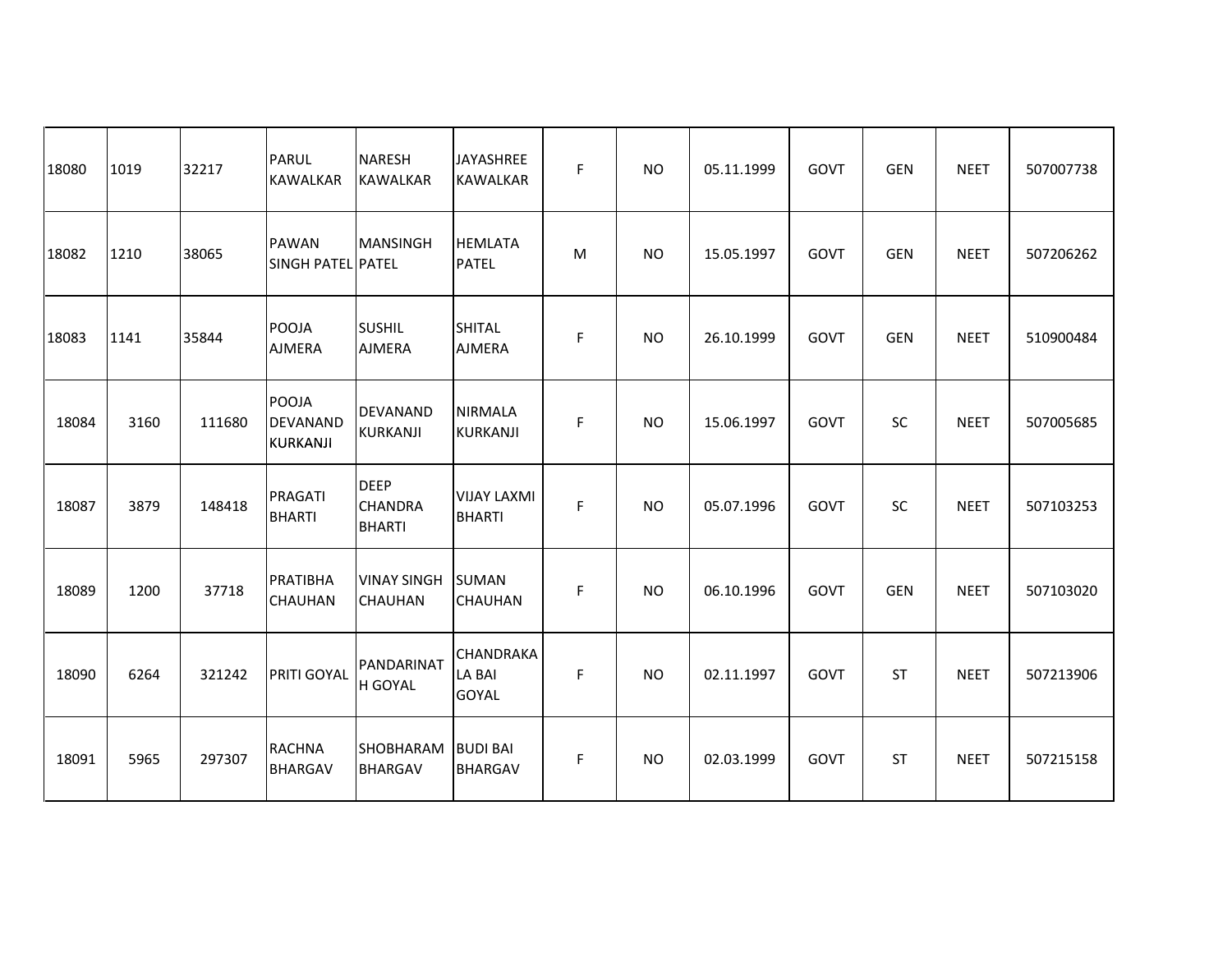| 18080 | 1019 | 32217  | <b>PARUL</b><br><b>KAWALKAR</b>      | <b>NARESH</b><br><b>KAWALKAR</b>               | <b>JAYASHREE</b><br><b>KAWALKAR</b>        | F | <b>NO</b>      | 05.11.1999 | GOVT | <b>GEN</b> | <b>NEET</b> | 507007738 |
|-------|------|--------|--------------------------------------|------------------------------------------------|--------------------------------------------|---|----------------|------------|------|------------|-------------|-----------|
| 18082 | 1210 | 38065  | <b>PAWAN</b><br>SINGH PATEL PATEL    | MANSINGH                                       | <b>HEMLATA</b><br><b>PATEL</b>             | M | <b>NO</b>      | 15.05.1997 | GOVT | <b>GEN</b> | <b>NEET</b> | 507206262 |
| 18083 | 1141 | 35844  | POOJA<br><b>AJMERA</b>               | <b>SUSHIL</b><br><b>AJMERA</b>                 | <b>SHITAL</b><br><b>AJMERA</b>             | F | <b>NO</b>      | 26.10.1999 | GOVT | <b>GEN</b> | <b>NEET</b> | 510900484 |
| 18084 | 3160 | 111680 | POOJA<br><b>DEVANAND</b><br>KURKANJI | DEVANAND<br>KURKANJI                           | <b>NIRMALA</b><br><b>KURKANJI</b>          | F | N <sub>O</sub> | 15.06.1997 | GOVT | SC         | <b>NEET</b> | 507005685 |
| 18087 | 3879 | 148418 | PRAGATI<br><b>BHARTI</b>             | <b>DEEP</b><br><b>CHANDRA</b><br><b>BHARTI</b> | <b>VIJAY LAXMI</b><br><b>BHARTI</b>        | F | <b>NO</b>      | 05.07.1996 | GOVT | SC         | <b>NEET</b> | 507103253 |
| 18089 | 1200 | 37718  | PRATIBHA<br><b>CHAUHAN</b>           | <b>VINAY SINGH</b><br><b>CHAUHAN</b>           | <b>SUMAN</b><br><b>CHAUHAN</b>             | F | <b>NO</b>      | 06.10.1996 | GOVT | <b>GEN</b> | <b>NEET</b> | 507103020 |
| 18090 | 6264 | 321242 | PRITI GOYAL                          | PANDARINAT<br>H GOYAL                          | <b>CHANDRAKA</b><br>LA BAI<br><b>GOYAL</b> | F | <b>NO</b>      | 02.11.1997 | GOVT | <b>ST</b>  | <b>NEET</b> | 507213906 |
| 18091 | 5965 | 297307 | RACHNA<br><b>BHARGAV</b>             | SHOBHARAM<br><b>BHARGAV</b>                    | <b>BUDI BAI</b><br><b>BHARGAV</b>          | F | <b>NO</b>      | 02.03.1999 | GOVT | <b>ST</b>  | <b>NEET</b> | 507215158 |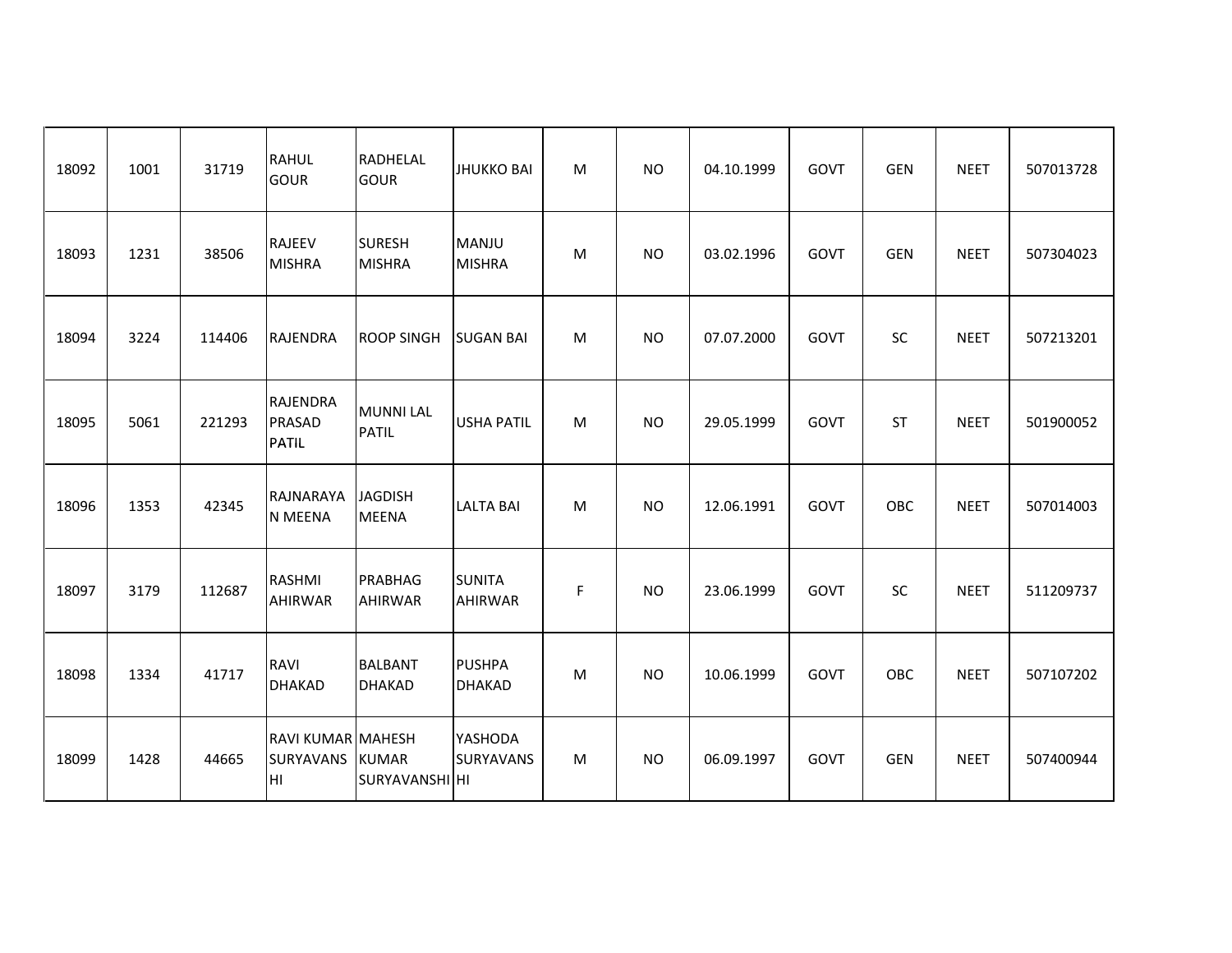| 18092 | 1001 | 31719  | RAHUL<br>GOUR                                | RADHELAL<br><b>GOUR</b>                | <b>JHUKKO BAI</b>               | M | <b>NO</b> | 04.10.1999 | <b>GOVT</b> | <b>GEN</b> | <b>NEET</b> | 507013728 |
|-------|------|--------|----------------------------------------------|----------------------------------------|---------------------------------|---|-----------|------------|-------------|------------|-------------|-----------|
| 18093 | 1231 | 38506  | <b>RAJEEV</b><br><b>MISHRA</b>               | <b>SURESH</b><br>MISHRA                | <b>MANJU</b><br><b>MISHRA</b>   | M | <b>NO</b> | 03.02.1996 | <b>GOVT</b> | <b>GEN</b> | <b>NEET</b> | 507304023 |
| 18094 | 3224 | 114406 | RAJENDRA                                     | <b>ROOP SINGH</b>                      | <b>SUGAN BAI</b>                | M | <b>NO</b> | 07.07.2000 | GOVT        | <b>SC</b>  | <b>NEET</b> | 507213201 |
| 18095 | 5061 | 221293 | RAJENDRA<br>PRASAD<br>PATIL                  | MUNNI LAL<br><b>PATIL</b>              | <b>USHA PATIL</b>               | M | <b>NO</b> | 29.05.1999 | <b>GOVT</b> | <b>ST</b>  | <b>NEET</b> | 501900052 |
| 18096 | 1353 | 42345  | RAJNARAYA<br>N MEENA                         | <b>JAGDISH</b><br><b>MEENA</b>         | <b>LALTA BAI</b>                | M | <b>NO</b> | 12.06.1991 | <b>GOVT</b> | OBC        | <b>NEET</b> | 507014003 |
| 18097 | 3179 | 112687 | RASHMI<br><b>AHIRWAR</b>                     | <b>PRABHAG</b><br>AHIRWAR              | <b>SUNITA</b><br><b>AHIRWAR</b> | F | <b>NO</b> | 23.06.1999 | GOVT        | <b>SC</b>  | <b>NEET</b> | 511209737 |
| 18098 | 1334 | 41717  | RAVI<br><b>DHAKAD</b>                        | <b>BALBANT</b><br>DHAKAD               | <b>PUSHPA</b><br><b>DHAKAD</b>  | M | <b>NO</b> | 10.06.1999 | GOVT        | OBC        | <b>NEET</b> | 507107202 |
| 18099 | 1428 | 44665  | <b>RAVI KUMAR MAHESH</b><br>SURYAVANS<br>Iнı | <b>KUMAR</b><br><b>ISURYAVANSHI HI</b> | YASHODA<br><b>SURYAVANS</b>     | M | <b>NO</b> | 06.09.1997 | GOVT        | <b>GEN</b> | <b>NEET</b> | 507400944 |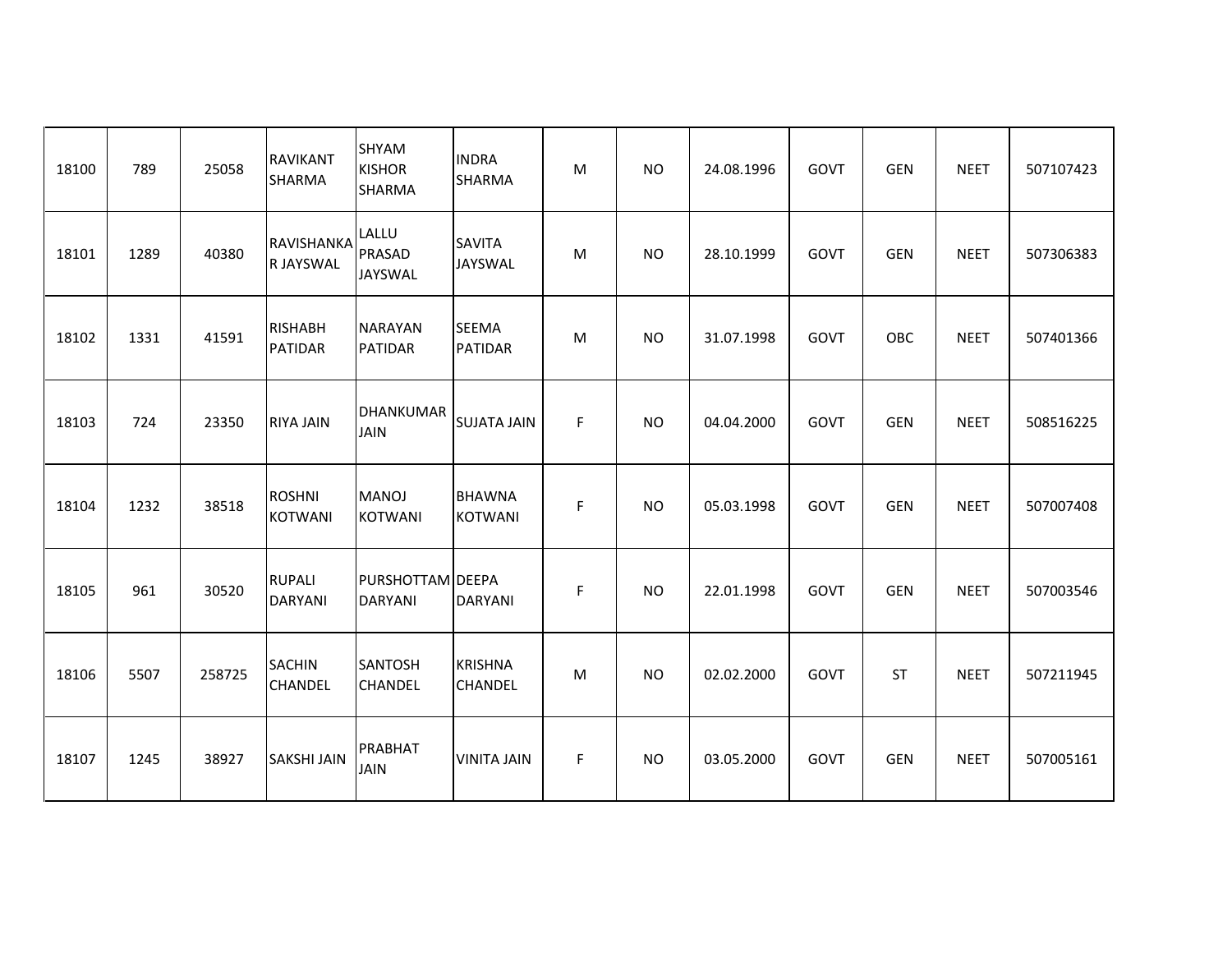| 18100 | 789  | 25058  | <b>RAVIKANT</b><br>SHARMA        | SHYAM<br><b>KISHOR</b><br>SHARMA   | <b>INDRA</b><br>SHARMA           | м | <b>NO</b> | 24.08.1996 | GOVT | <b>GEN</b> | <b>NEET</b> | 507107423 |
|-------|------|--------|----------------------------------|------------------------------------|----------------------------------|---|-----------|------------|------|------------|-------------|-----------|
| 18101 | 1289 | 40380  | RAVISHANKA<br>R JAYSWAL          | LALLU<br>PRASAD<br>JAYSWAL         | <b>SAVITA</b><br>JAYSWAL         | M | <b>NO</b> | 28.10.1999 | GOVT | <b>GEN</b> | <b>NEET</b> | 507306383 |
| 18102 | 1331 | 41591  | <b>RISHABH</b><br><b>PATIDAR</b> | <b>NARAYAN</b><br><b>PATIDAR</b>   | SEEMA<br>PATIDAR                 | M | <b>NO</b> | 31.07.1998 | GOVT | OBC        | <b>NEET</b> | 507401366 |
| 18103 | 724  | 23350  | <b>RIYA JAIN</b>                 | <b>DHANKUMAR</b><br><b>JAIN</b>    | <b>SUJATA JAIN</b>               | F | <b>NO</b> | 04.04.2000 | GOVT | <b>GEN</b> | <b>NEET</b> | 508516225 |
| 18104 | 1232 | 38518  | <b>ROSHNI</b><br><b>KOTWANI</b>  | MANOJ<br><b>KOTWANI</b>            | <b>BHAWNA</b><br><b>KOTWANI</b>  | F | <b>NO</b> | 05.03.1998 | GOVT | <b>GEN</b> | <b>NEET</b> | 507007408 |
| 18105 | 961  | 30520  | <b>RUPALI</b><br><b>DARYANI</b>  | PURSHOTTAM DEEPA<br><b>DARYANI</b> | <b>DARYANI</b>                   | F | <b>NO</b> | 22.01.1998 | GOVT | <b>GEN</b> | <b>NEET</b> | 507003546 |
| 18106 | 5507 | 258725 | <b>SACHIN</b><br><b>CHANDEL</b>  | SANTOSH<br>CHANDEL                 | <b>KRISHNA</b><br><b>CHANDEL</b> | M | <b>NO</b> | 02.02.2000 | GOVT | <b>ST</b>  | <b>NEET</b> | 507211945 |
| 18107 | 1245 | 38927  | <b>SAKSHI JAIN</b>               | PRABHAT<br><b>JAIN</b>             | <b>VINITA JAIN</b>               | F | <b>NO</b> | 03.05.2000 | GOVT | <b>GEN</b> | <b>NEET</b> | 507005161 |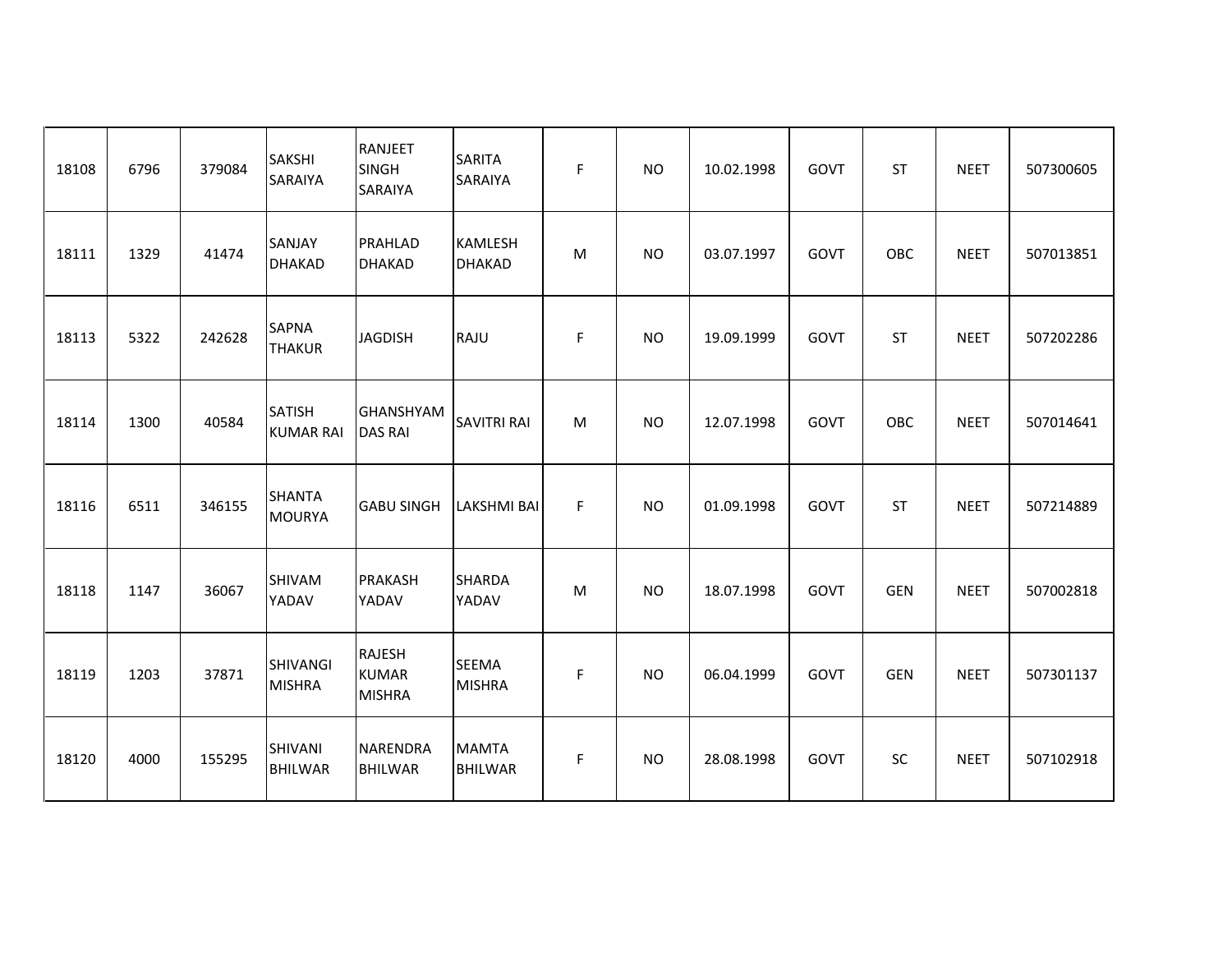| 18108 | 6796 | 379084 | SAKSHI<br>SARAIYA                 | RANJEET<br>SINGH<br>SARAIYA             | <b>SARITA</b><br>SARAIYA       | F | <b>NO</b> | 10.02.1998 | GOVT | <b>ST</b>  | <b>NEET</b> | 507300605 |
|-------|------|--------|-----------------------------------|-----------------------------------------|--------------------------------|---|-----------|------------|------|------------|-------------|-----------|
| 18111 | 1329 | 41474  | SANJAY<br><b>DHAKAD</b>           | PRAHLAD<br><b>DHAKAD</b>                | KAMLESH<br><b>DHAKAD</b>       | M | <b>NO</b> | 03.07.1997 | GOVT | OBC        | <b>NEET</b> | 507013851 |
| 18113 | 5322 | 242628 | <b>SAPNA</b><br><b>THAKUR</b>     | <b>JAGDISH</b>                          | RAJU                           | F | <b>NO</b> | 19.09.1999 | GOVT | <b>ST</b>  | <b>NEET</b> | 507202286 |
| 18114 | 1300 | 40584  | <b>SATISH</b><br><b>KUMAR RAI</b> | GHANSHYAM<br><b>DAS RAI</b>             | <b>SAVITRI RAI</b>             | M | <b>NO</b> | 12.07.1998 | GOVT | OBC        | <b>NEET</b> | 507014641 |
| 18116 | 6511 | 346155 | <b>SHANTA</b><br><b>MOURYA</b>    | <b>GABU SINGH</b>                       | <b>LAKSHMI BAI</b>             | F | <b>NO</b> | 01.09.1998 | GOVT | <b>ST</b>  | <b>NEET</b> | 507214889 |
| 18118 | 1147 | 36067  | <b>SHIVAM</b><br>YADAV            | <b>PRAKASH</b><br>YADAV                 | <b>SHARDA</b><br>YADAV         | M | <b>NO</b> | 18.07.1998 | GOVT | <b>GEN</b> | <b>NEET</b> | 507002818 |
| 18119 | 1203 | 37871  | <b>SHIVANGI</b><br><b>MISHRA</b>  | RAJESH<br><b>KUMAR</b><br><b>MISHRA</b> | <b>SEEMA</b><br><b>MISHRA</b>  | F | <b>NO</b> | 06.04.1999 | GOVT | <b>GEN</b> | <b>NEET</b> | 507301137 |
| 18120 | 4000 | 155295 | <b>SHIVANI</b><br><b>BHILWAR</b>  | <b>NARENDRA</b><br><b>BHILWAR</b>       | <b>MAMTA</b><br><b>BHILWAR</b> | F | <b>NO</b> | 28.08.1998 | GOVT | SC         | <b>NEET</b> | 507102918 |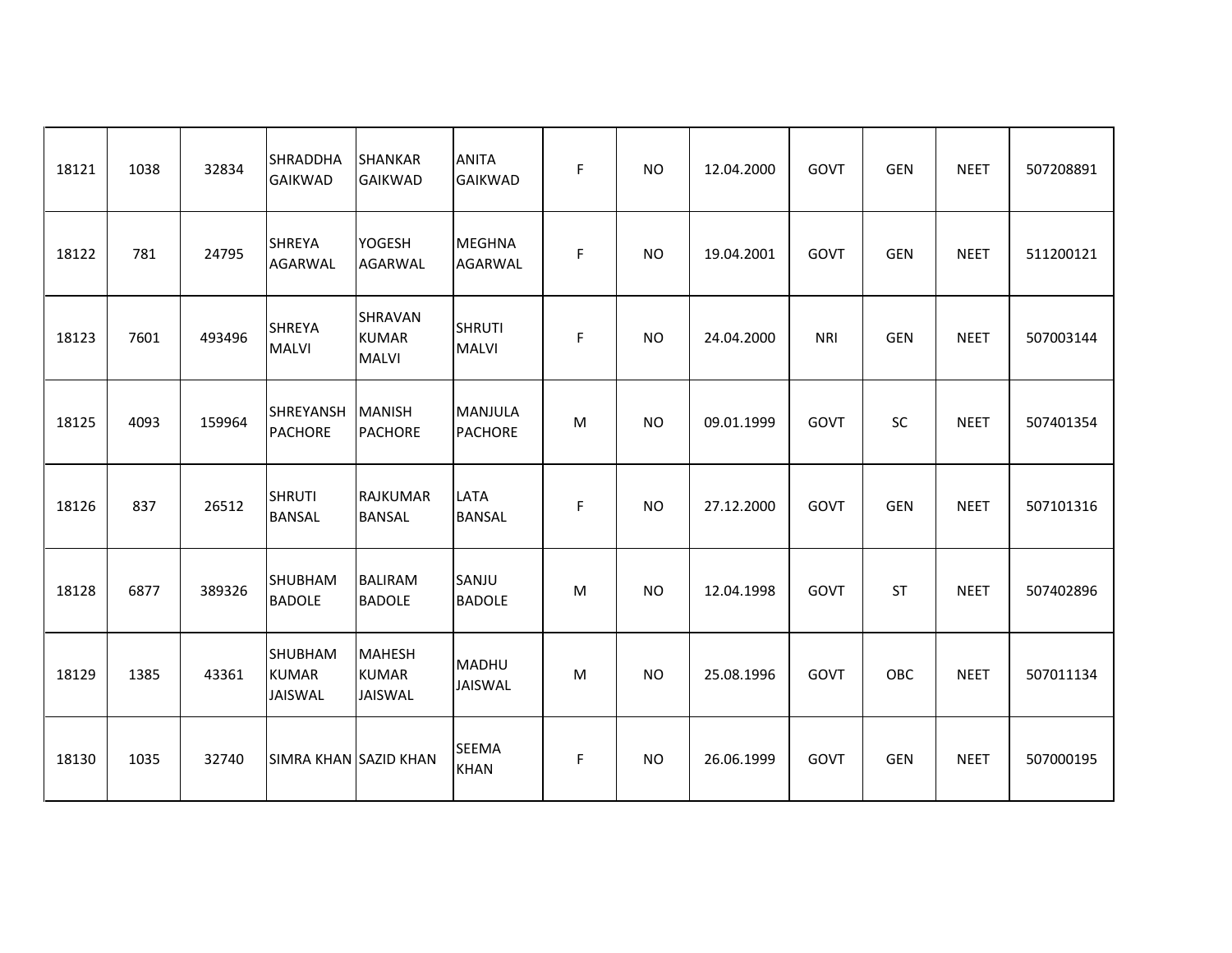| 18121 | 1038 | 32834  | <b>SHRADDHA</b><br><b>GAIKWAD</b>                | <b>SHANKAR</b><br><b>GAIKWAD</b>                | <b>ANITA</b><br><b>GAIKWAD</b> | F | <b>NO</b> | 12.04.2000 | GOVT       | <b>GEN</b> | <b>NEET</b> | 507208891 |
|-------|------|--------|--------------------------------------------------|-------------------------------------------------|--------------------------------|---|-----------|------------|------------|------------|-------------|-----------|
| 18122 | 781  | 24795  | <b>SHREYA</b><br><b>AGARWAL</b>                  | YOGESH<br>AGARWAL                               | MEGHNA<br><b>AGARWAL</b>       | F | <b>NO</b> | 19.04.2001 | GOVT       | <b>GEN</b> | <b>NEET</b> | 511200121 |
| 18123 | 7601 | 493496 | <b>SHREYA</b><br><b>MALVI</b>                    | <b>SHRAVAN</b><br><b>KUMAR</b><br><b>MALVI</b>  | <b>SHRUTI</b><br><b>MALVI</b>  | F | <b>NO</b> | 24.04.2000 | <b>NRI</b> | <b>GEN</b> | <b>NEET</b> | 507003144 |
| 18125 | 4093 | 159964 | SHREYANSH<br><b>PACHORE</b>                      | MANISH<br><b>PACHORE</b>                        | MANJULA<br><b>PACHORE</b>      | M | <b>NO</b> | 09.01.1999 | GOVT       | SC         | <b>NEET</b> | 507401354 |
| 18126 | 837  | 26512  | <b>SHRUTI</b><br><b>BANSAL</b>                   | RAJKUMAR<br><b>BANSAL</b>                       | LATA<br><b>BANSAL</b>          | F | <b>NO</b> | 27.12.2000 | GOVT       | <b>GEN</b> | <b>NEET</b> | 507101316 |
| 18128 | 6877 | 389326 | <b>SHUBHAM</b><br><b>BADOLE</b>                  | <b>BALIRAM</b><br><b>BADOLE</b>                 | SANJU<br><b>BADOLE</b>         | M | <b>NO</b> | 12.04.1998 | GOVT       | <b>ST</b>  | <b>NEET</b> | 507402896 |
| 18129 | 1385 | 43361  | <b>SHUBHAM</b><br><b>KUMAR</b><br><b>JAISWAL</b> | <b>MAHESH</b><br><b>KUMAR</b><br><b>JAISWAL</b> | <b>MADHU</b><br>JAISWAL        | M | <b>NO</b> | 25.08.1996 | GOVT       | OBC        | <b>NEET</b> | 507011134 |
| 18130 | 1035 | 32740  | SIMRA KHAN SAZID KHAN                            |                                                 | <b>SEEMA</b><br><b>KHAN</b>    | F | <b>NO</b> | 26.06.1999 | GOVT       | <b>GEN</b> | <b>NEET</b> | 507000195 |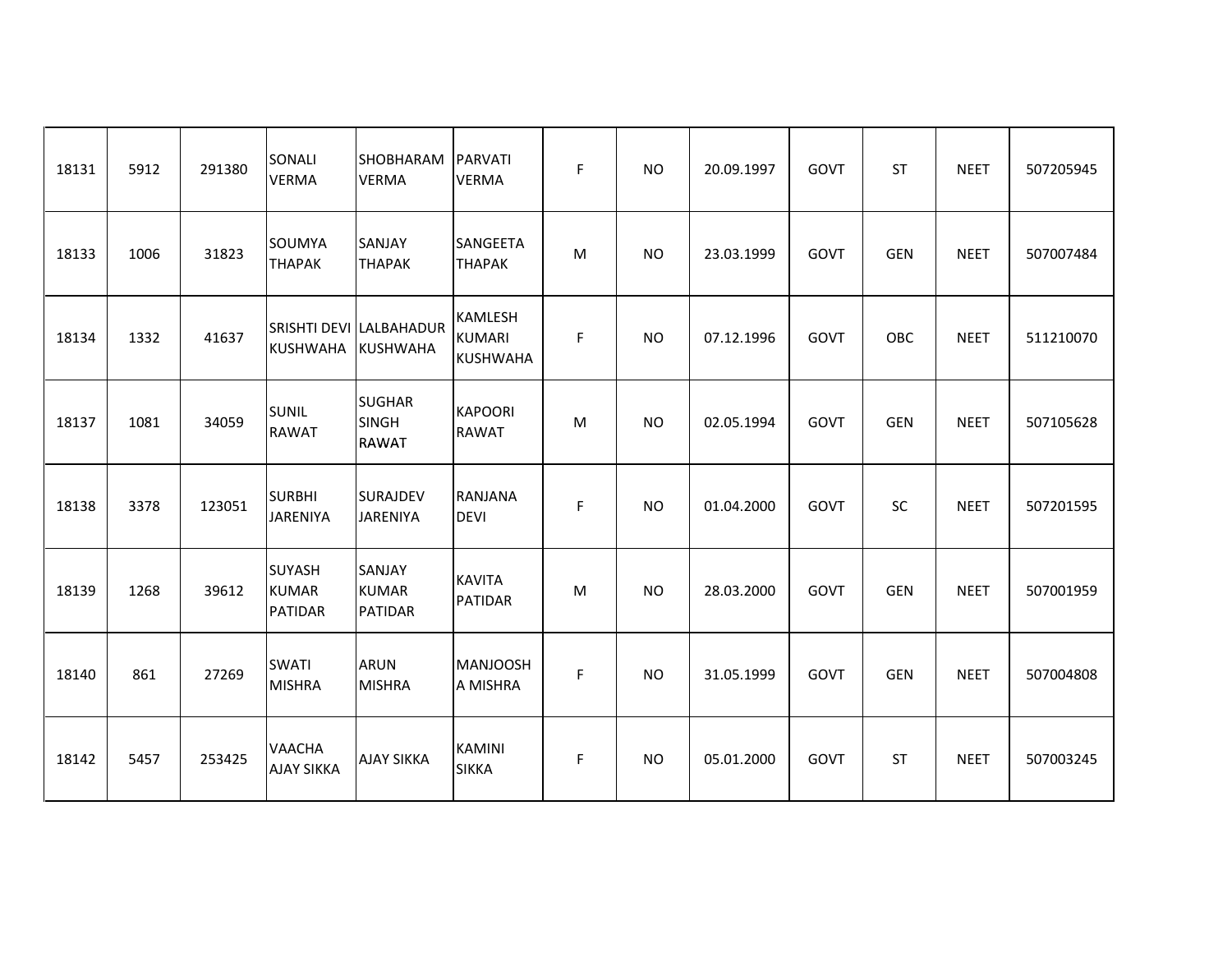| 18131 | 5912 | 291380 | SONALI<br><b>VERMA</b>                          | SHOBHARAM<br><b>VERMA</b>                     | PARVATI<br><b>VERMA</b>                            | F | <b>NO</b>      | 20.09.1997 | GOVT | <b>ST</b>  | <b>NEET</b> | 507205945 |
|-------|------|--------|-------------------------------------------------|-----------------------------------------------|----------------------------------------------------|---|----------------|------------|------|------------|-------------|-----------|
| 18133 | 1006 | 31823  | SOUMYA<br><b>THAPAK</b>                         | SANJAY<br><b>THAPAK</b>                       | SANGEETA<br><b>THAPAK</b>                          | м | <b>NO</b>      | 23.03.1999 | GOVT | <b>GEN</b> | <b>NEET</b> | 507007484 |
| 18134 | 1332 | 41637  | <b>KUSHWAHA</b>                                 | SRISHTI DEVI LALBAHADUR<br>KUSHWAHA           | <b>KAMLESH</b><br><b>KUMARI</b><br><b>KUSHWAHA</b> | F | <b>NO</b>      | 07.12.1996 | GOVT | OBC        | <b>NEET</b> | 511210070 |
| 18137 | 1081 | 34059  | <b>SUNIL</b><br><b>RAWAT</b>                    | <b>SUGHAR</b><br><b>SINGH</b><br><b>RAWAT</b> | <b>KAPOORI</b><br><b>RAWAT</b>                     | M | <b>NO</b>      | 02.05.1994 | GOVT | <b>GEN</b> | <b>NEET</b> | 507105628 |
| 18138 | 3378 | 123051 | <b>SURBHI</b><br><b>JARENIYA</b>                | <b>SURAJDEV</b><br><b>JARENIYA</b>            | <b>RANJANA</b><br><b>DEVI</b>                      | F | <b>NO</b>      | 01.04.2000 | GOVT | <b>SC</b>  | <b>NEET</b> | 507201595 |
| 18139 | 1268 | 39612  | <b>SUYASH</b><br><b>KUMAR</b><br><b>PATIDAR</b> | <b>SANJAY</b><br>KUMAR<br>PATIDAR             | <b>KAVITA</b><br><b>PATIDAR</b>                    | M | <b>NO</b>      | 28.03.2000 | GOVT | <b>GEN</b> | <b>NEET</b> | 507001959 |
| 18140 | 861  | 27269  | <b>SWATI</b><br><b>MISHRA</b>                   | <b>ARUN</b><br><b>MISHRA</b>                  | <b>MANJOOSH</b><br>A MISHRA                        | F | <b>NO</b>      | 31.05.1999 | GOVT | <b>GEN</b> | <b>NEET</b> | 507004808 |
| 18142 | 5457 | 253425 | <b>VAACHA</b><br><b>AJAY SIKKA</b>              | <b>AJAY SIKKA</b>                             | <b>KAMINI</b><br><b>SIKKA</b>                      | F | N <sub>O</sub> | 05.01.2000 | GOVT | <b>ST</b>  | <b>NEET</b> | 507003245 |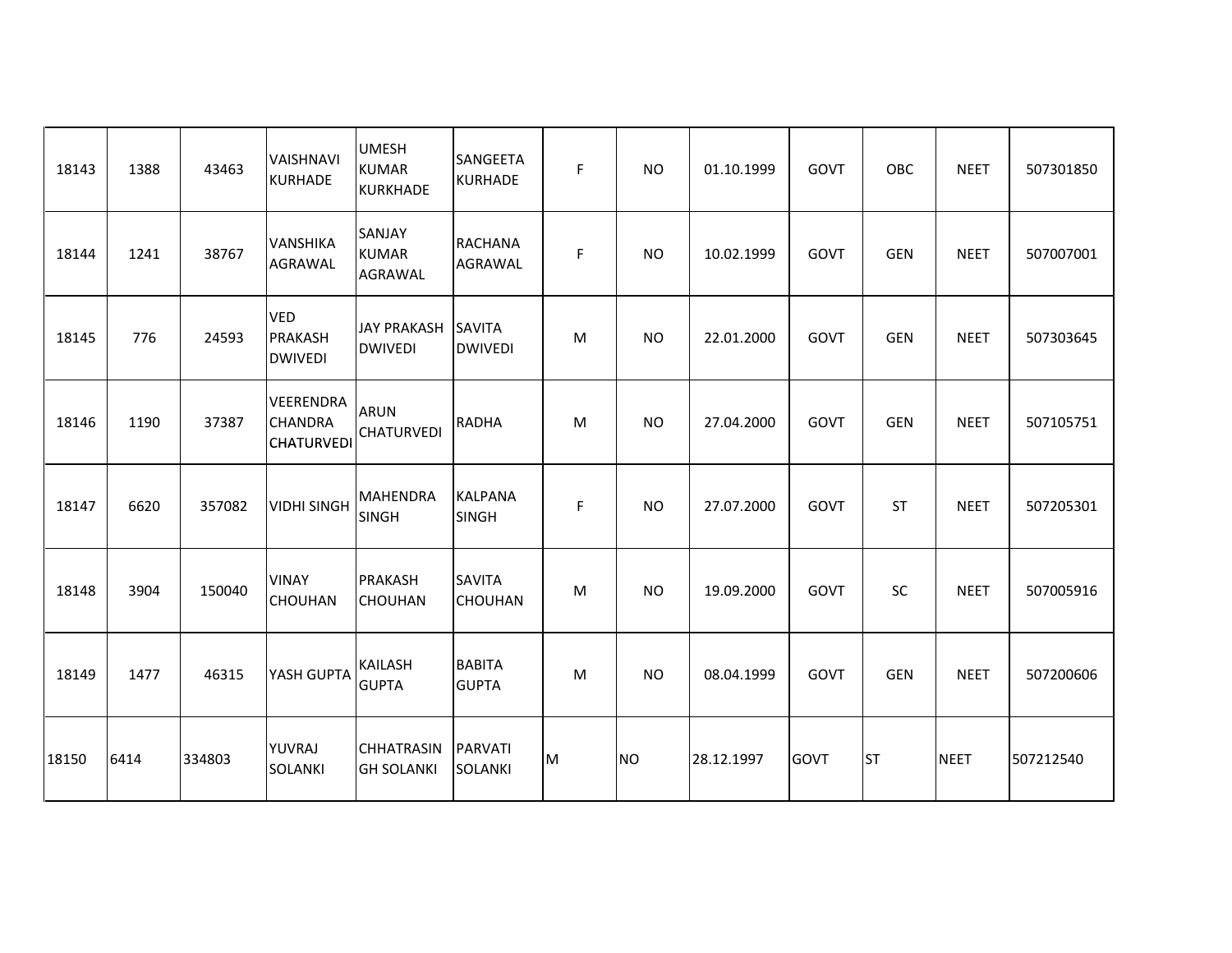| 18143 | 1388 | 43463  | <b>VAISHNAVI</b><br><b>KURHADE</b>                      | <b>UMESH</b><br><b>KUMAR</b><br><b>KURKHADE</b> | <b>SANGEETA</b><br><b>KURHADE</b> | F | <b>NO</b> | 01.10.1999 | <b>GOVT</b> | OBC        | <b>NEET</b> | 507301850 |
|-------|------|--------|---------------------------------------------------------|-------------------------------------------------|-----------------------------------|---|-----------|------------|-------------|------------|-------------|-----------|
| 18144 | 1241 | 38767  | VANSHIKA<br><b>AGRAWAL</b>                              | SANJAY<br><b>KUMAR</b><br>AGRAWAL               | <b>RACHANA</b><br><b>AGRAWAL</b>  | F | <b>NO</b> | 10.02.1999 | GOVT        | <b>GEN</b> | <b>NEET</b> | 507007001 |
| 18145 | 776  | 24593  | <b>VED</b><br><b>PRAKASH</b><br><b>DWIVEDI</b>          | <b>JAY PRAKASH</b><br><b>DWIVEDI</b>            | <b>SAVITA</b><br><b>DWIVEDI</b>   | M | <b>NO</b> | 22.01.2000 | GOVT        | <b>GEN</b> | <b>NEET</b> | 507303645 |
| 18146 | 1190 | 37387  | <b>VEERENDRA</b><br><b>CHANDRA</b><br><b>CHATURVEDI</b> | <b>ARUN</b><br><b>CHATURVEDI</b>                | <b>RADHA</b>                      | M | <b>NO</b> | 27.04.2000 | GOVT        | <b>GEN</b> | <b>NEET</b> | 507105751 |
| 18147 | 6620 | 357082 | <b>VIDHI SINGH</b>                                      | <b>MAHENDRA</b><br><b>SINGH</b>                 | <b>KALPANA</b><br><b>SINGH</b>    | F | <b>NO</b> | 27.07.2000 | GOVT        | <b>ST</b>  | <b>NEET</b> | 507205301 |
| 18148 | 3904 | 150040 | <b>VINAY</b><br><b>CHOUHAN</b>                          | <b>PRAKASH</b><br><b>CHOUHAN</b>                | <b>SAVITA</b><br><b>CHOUHAN</b>   | M | <b>NO</b> | 19.09.2000 | GOVT        | SC         | <b>NEET</b> | 507005916 |
| 18149 | 1477 | 46315  | YASH GUPTA                                              | <b>KAILASH</b><br><b>GUPTA</b>                  | <b>BABITA</b><br><b>GUPTA</b>     | M | <b>NO</b> | 08.04.1999 | GOVT        | <b>GEN</b> | <b>NEET</b> | 507200606 |
| 18150 | 6414 | 334803 | <b>YUVRAJ</b><br><b>SOLANKI</b>                         | <b>CHHATRASIN</b><br><b>GH SOLANKI</b>          | PARVATI<br><b>SOLANKI</b>         | M | <b>NO</b> | 28.12.1997 | <b>GOVT</b> | <b>ST</b>  | <b>NEET</b> | 507212540 |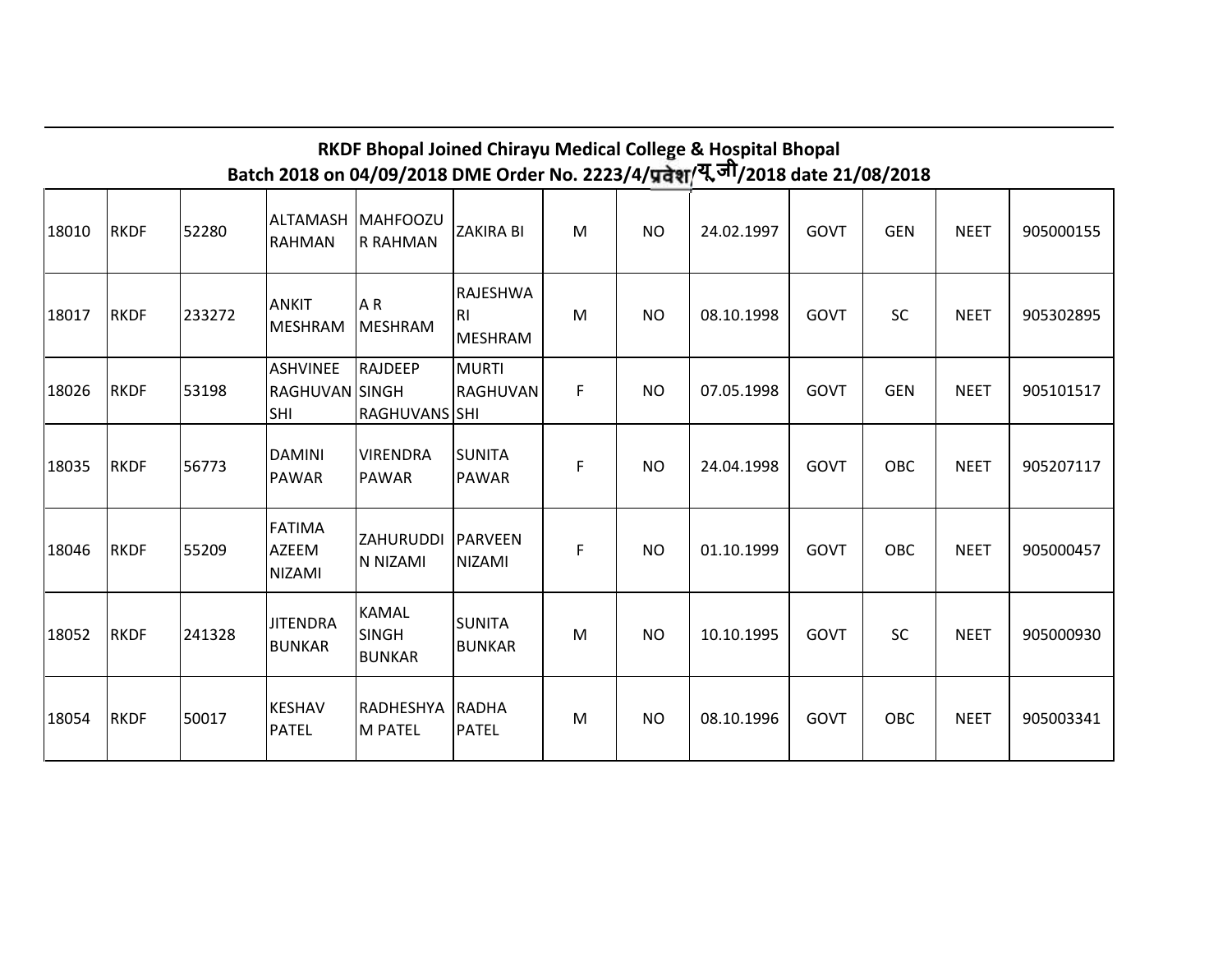|       |             |        |                                          |                                               |                                       |    |           | RKDF Bhopal Joined Chirayu Medical College & Hospital Bhopal<br>Batch 2018 on 04/09/2018 DME Order No. 2223/4/प्रदेश/यू.जी/2018 date 21/08/2018 |             |            |             |           |
|-------|-------------|--------|------------------------------------------|-----------------------------------------------|---------------------------------------|----|-----------|-------------------------------------------------------------------------------------------------------------------------------------------------|-------------|------------|-------------|-----------|
| 18010 | <b>RKDF</b> | 52280  | ALTAMASH<br> RAHMAN                      | MAHFOOZU<br><b>R RAHMAN</b>                   | <b>ZAKIRA BI</b>                      | M  | <b>NO</b> | 24.02.1997                                                                                                                                      | GOVT        | <b>GEN</b> | <b>NEET</b> | 905000155 |
| 18017 | <b>RKDF</b> | 233272 | <b>ANKIT</b><br>MESHRAM                  | AR<br>MESHRAM                                 | RAJESHWA<br>R <sub>l</sub><br>MESHRAM | M  | <b>NO</b> | 08.10.1998                                                                                                                                      | GOVT        | <b>SC</b>  | <b>NEET</b> | 905302895 |
| 18026 | <b>RKDF</b> | 53198  | ASHVINEE<br>RAGHUVAN SINGH<br><b>SHI</b> | RAJDEEP<br><b>RAGHUVANS SHI</b>               | MURTI<br>RAGHUVAN                     | F  | <b>NO</b> | 07.05.1998                                                                                                                                      | GOVT        | <b>GEN</b> | <b>NEET</b> | 905101517 |
| 18035 | <b>RKDF</b> | 56773  | <b>DAMINI</b><br>PAWAR                   | <b>VIRENDRA</b><br><b>PAWAR</b>               | ISUNITA<br>PAWAR                      | F. | NO.       | 24.04.1998                                                                                                                                      | GOVT        | <b>OBC</b> | <b>NEET</b> | 905207117 |
| 18046 | <b>RKDF</b> | 55209  | FATIMA<br><b>AZEEM</b><br><b>NIZAMI</b>  | ZAHURUDDI<br>N NIZAMI                         | <b>PARVEEN</b><br><b>NIZAMI</b>       | F. | NO.       | 01.10.1999                                                                                                                                      | <b>GOVT</b> | <b>OBC</b> | <b>NEET</b> | 905000457 |
| 18052 | <b>RKDF</b> | 241328 | <b>JITENDRA</b><br><b>BUNKAR</b>         | <b>KAMAL</b><br><b>SINGH</b><br><b>BUNKAR</b> | SUNITA<br><b>BUNKAR</b>               | M  | <b>NO</b> | 10.10.1995                                                                                                                                      | GOVT        | <b>SC</b>  | <b>NEET</b> | 905000930 |
| 18054 | <b>RKDF</b> | 50017  | <b>KESHAV</b><br>PATEL                   | RADHESHYA<br>M PATEL                          | <b>RADHA</b><br>PATEL                 | M  | <b>NO</b> | 08.10.1996                                                                                                                                      | GOVT        | OBC        | <b>NEET</b> | 905003341 |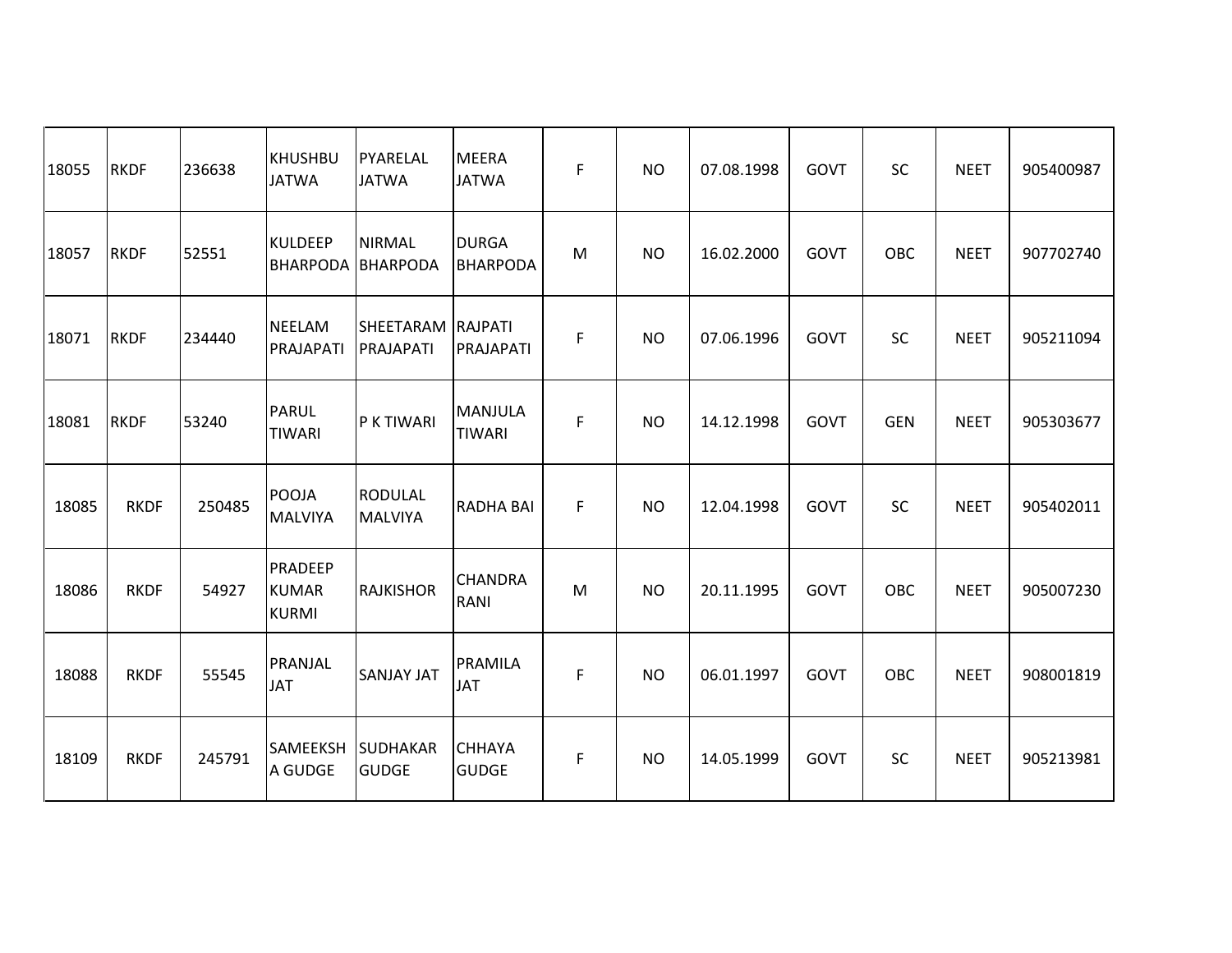| 18055 | <b>RKDF</b> | 236638 | KHUSHBU<br><b>JATWA</b>                        | PYARELAL<br><b>JATWA</b>         | <b>MEERA</b><br><b>JATWA</b>    | F  | <b>NO</b> | 07.08.1998 | GOVT        | SC         | <b>NEET</b> | 905400987 |
|-------|-------------|--------|------------------------------------------------|----------------------------------|---------------------------------|----|-----------|------------|-------------|------------|-------------|-----------|
| 18057 | <b>RKDF</b> | 52551  | <b>KULDEEP</b><br><b>BHARPODA BHARPODA</b>     | <b>NIRMAL</b>                    | <b>DURGA</b><br><b>BHARPODA</b> | M  | <b>NO</b> | 16.02.2000 | GOVT        | OBC        | <b>NEET</b> | 907702740 |
| 18071 | <b>RKDF</b> | 234440 | <b>NEELAM</b><br>PRAJAPATI                     | SHEETARAM<br>PRAJAPATI           | <b>RAJPATI</b><br>PRAJAPATI     | F  | <b>NO</b> | 07.06.1996 | GOVT        | SC         | <b>NEET</b> | 905211094 |
| 18081 | <b>RKDF</b> | 53240  | <b>PARUL</b><br>TIWARI                         | P K TIWARI                       | <b>MANJULA</b><br><b>TIWARI</b> | F  | <b>NO</b> | 14.12.1998 | GOVT        | <b>GEN</b> | <b>NEET</b> | 905303677 |
| 18085 | <b>RKDF</b> | 250485 | POOJA<br><b>MALVIYA</b>                        | <b>RODULAL</b><br><b>MALVIYA</b> | <b>RADHA BAI</b>                | F. | <b>NO</b> | 12.04.1998 | GOVT        | <b>SC</b>  | <b>NEET</b> | 905402011 |
| 18086 | <b>RKDF</b> | 54927  | <b>PRADEEP</b><br><b>KUMAR</b><br><b>KURMI</b> | <b>RAJKISHOR</b>                 | <b>CHANDRA</b><br>RANI          | M  | <b>NO</b> | 20.11.1995 | <b>GOVT</b> | OBC        | <b>NEET</b> | 905007230 |
| 18088 | <b>RKDF</b> | 55545  | PRANJAL<br><b>JAT</b>                          | <b>SANJAY JAT</b>                | PRAMILA<br><b>JAT</b>           | F  | <b>NO</b> | 06.01.1997 | GOVT        | OBC        | <b>NEET</b> | 908001819 |
| 18109 | <b>RKDF</b> | 245791 | <b>SAMEEKSH</b><br>A GUDGE                     | <b>SUDHAKAR</b><br><b>GUDGE</b>  | <b>CHHAYA</b><br><b>GUDGE</b>   | F  | <b>NO</b> | 14.05.1999 | GOVT        | SC         | <b>NEET</b> | 905213981 |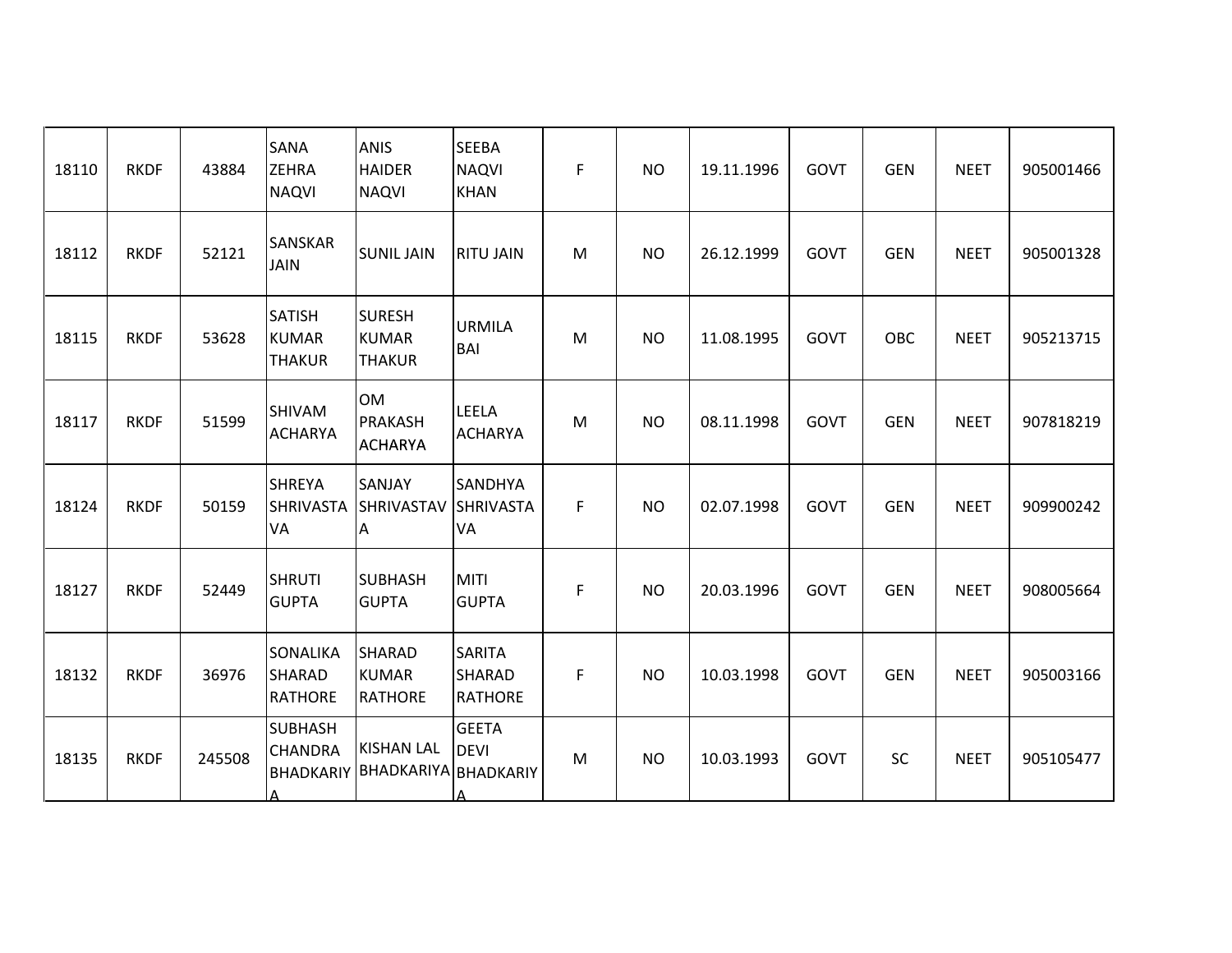| 18110 | <b>RKDF</b> | 43884  | <b>SANA</b><br><b>ZEHRA</b><br><b>NAQVI</b>    | <b>ANIS</b><br><b>HAIDER</b><br><b>NAQVI</b>               | <b>SEEBA</b><br><b>NAQVI</b><br><b>KHAN</b>      | F | <b>NO</b> | 19.11.1996 | <b>GOVT</b> | <b>GEN</b> | <b>NEET</b> | 905001466 |
|-------|-------------|--------|------------------------------------------------|------------------------------------------------------------|--------------------------------------------------|---|-----------|------------|-------------|------------|-------------|-----------|
| 18112 | <b>RKDF</b> | 52121  | <b>SANSKAR</b><br><b>JAIN</b>                  | <b>SUNIL JAIN</b>                                          | <b>RITU JAIN</b>                                 | M | <b>NO</b> | 26.12.1999 | GOVT        | <b>GEN</b> | <b>NEET</b> | 905001328 |
| 18115 | <b>RKDF</b> | 53628  | <b>SATISH</b><br><b>KUMAR</b><br><b>THAKUR</b> | <b>SURESH</b><br><b>KUMAR</b><br><b>THAKUR</b>             | <b>URMILA</b><br><b>BAI</b>                      | M | <b>NO</b> | 11.08.1995 | GOVT        | OBC        | <b>NEET</b> | 905213715 |
| 18117 | <b>RKDF</b> | 51599  | <b>SHIVAM</b><br><b>ACHARYA</b>                | <b>OM</b><br><b>PRAKASH</b><br><b>ACHARYA</b>              | <b>LEELA</b><br><b>ACHARYA</b>                   | M | <b>NO</b> | 08.11.1998 | <b>GOVT</b> | <b>GEN</b> | <b>NEET</b> | 907818219 |
| 18124 | <b>RKDF</b> | 50159  | <b>SHREYA</b><br>VA                            | SANJAY<br>SHRIVASTA SHRIVASTAV SHRIVASTA<br>A              | <b>SANDHYA</b><br><b>VA</b>                      | F | <b>NO</b> | 02.07.1998 | GOVT        | <b>GEN</b> | <b>NEET</b> | 909900242 |
| 18127 | <b>RKDF</b> | 52449  | <b>SHRUTI</b><br><b>GUPTA</b>                  | <b>SUBHASH</b><br><b>GUPTA</b>                             | <b>MITI</b><br><b>GUPTA</b>                      | F | <b>NO</b> | 20.03.1996 | GOVT        | <b>GEN</b> | <b>NEET</b> | 908005664 |
| 18132 | <b>RKDF</b> | 36976  | SONALIKA<br><b>SHARAD</b><br><b>RATHORE</b>    | <b>SHARAD</b><br><b>KUMAR</b><br><b>RATHORE</b>            | <b>SARITA</b><br><b>SHARAD</b><br><b>RATHORE</b> | F | <b>NO</b> | 10.03.1998 | <b>GOVT</b> | <b>GEN</b> | <b>NEET</b> | 905003166 |
| 18135 | <b>RKDF</b> | 245508 | <b>SUBHASH</b><br><b>CHANDRA</b><br>А          | <b>KISHAN LAL</b><br><b>BHADKARIY BHADKARIYA BHADKARIY</b> | <b>GEETA</b><br><b>DEVI</b>                      | M | <b>NO</b> | 10.03.1993 | GOVT        | SC         | <b>NEET</b> | 905105477 |